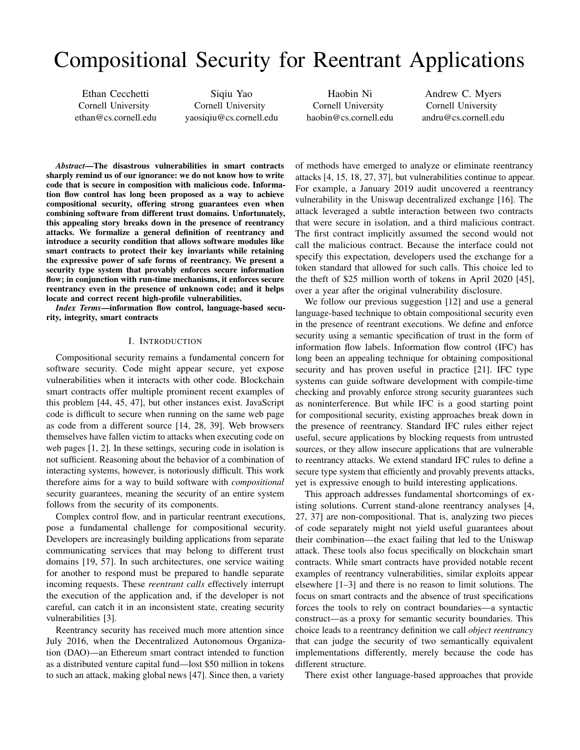# Compositional Security for Reentrant Applications

Ethan Cecchetti Cornell University [ethan@cs.cornell.edu](mailto:ethan@cs.cornell.edu)

Siqiu Yao Cornell University [yaosiqiu@cs.cornell.edu](mailto:yaosiqiu@cs.cornell.edu)

Haobin Ni Cornell University [haobin@cs.cornell.edu](mailto:haobin@cs.cornell.edu)

Andrew C. Myers Cornell University [andru@cs.cornell.edu](mailto:andru@cs.cornell.edu)

*Abstract*—The disastrous vulnerabilities in smart contracts sharply remind us of our ignorance: we do not know how to write code that is secure in composition with malicious code. Information flow control has long been proposed as a way to achieve compositional security, offering strong guarantees even when combining software from different trust domains. Unfortunately, this appealing story breaks down in the presence of reentrancy attacks. We formalize a general definition of reentrancy and introduce a security condition that allows software modules like smart contracts to protect their key invariants while retaining the expressive power of safe forms of reentrancy. We present a security type system that provably enforces secure information flow; in conjunction with run-time mechanisms, it enforces secure reentrancy even in the presence of unknown code; and it helps locate and correct recent high-profile vulnerabilities.

*Index Terms*—information flow control, language-based security, integrity, smart contracts

#### I. INTRODUCTION

<span id="page-0-0"></span>Compositional security remains a fundamental concern for software security. Code might appear secure, yet expose vulnerabilities when it interacts with other code. Blockchain smart contracts offer multiple prominent recent examples of this problem [\[44,](#page-15-0) [45,](#page-15-1) [47\]](#page-15-2), but other instances exist. JavaScript code is difficult to secure when running on the same web page as code from a different source [\[14,](#page-14-0) [28,](#page-14-1) [39\]](#page-15-3). Web browsers themselves have fallen victim to attacks when executing code on web pages [\[1,](#page-13-0) [2\]](#page-13-1). In these settings, securing code in isolation is not sufficient. Reasoning about the behavior of a combination of interacting systems, however, is notoriously difficult. This work therefore aims for a way to build software with *compositional* security guarantees, meaning the security of an entire system follows from the security of its components.

Complex control flow, and in particular reentrant executions, pose a fundamental challenge for compositional security. Developers are increasingly building applications from separate communicating services that may belong to different trust domains [\[19,](#page-14-2) [57\]](#page-15-4). In such architectures, one service waiting for another to respond must be prepared to handle separate incoming requests. These *reentrant calls* effectively interrupt the execution of the application and, if the developer is not careful, can catch it in an inconsistent state, creating security vulnerabilities [\[3\]](#page-13-2).

Reentrancy security has received much more attention since July 2016, when the Decentralized Autonomous Organization (DAO)—an Ethereum smart contract intended to function as a distributed venture capital fund—lost \$50 million in tokens to such an attack, making global news [\[47\]](#page-15-2). Since then, a variety

of methods have emerged to analyze or eliminate reentrancy attacks [\[4,](#page-13-3) [15,](#page-14-3) [18,](#page-14-4) [27,](#page-14-5) [37\]](#page-15-5), but vulnerabilities continue to appear. For example, a January 2019 audit uncovered a reentrancy vulnerability in the Uniswap decentralized exchange [\[16\]](#page-14-6). The attack leveraged a subtle interaction between two contracts that were secure in isolation, and a third malicious contract. The first contract implicitly assumed the second would not call the malicious contract. Because the interface could not specify this expectation, developers used the exchange for a token standard that allowed for such calls. This choice led to the theft of \$25 million worth of tokens in April 2020 [\[45\]](#page-15-1), over a year after the original vulnerability disclosure.

We follow our previous suggestion [\[12\]](#page-14-7) and use a general language-based technique to obtain compositional security even in the presence of reentrant executions. We define and enforce security using a semantic specification of trust in the form of information flow labels. Information flow control (IFC) has long been an appealing technique for obtaining compositional security and has proven useful in practice [\[21\]](#page-14-8). IFC type systems can guide software development with compile-time checking and provably enforce strong security guarantees such as noninterference. But while IFC is a good starting point for compositional security, existing approaches break down in the presence of reentrancy. Standard IFC rules either reject useful, secure applications by blocking requests from untrusted sources, or they allow insecure applications that are vulnerable to reentrancy attacks. We extend standard IFC rules to define a secure type system that efficiently and provably prevents attacks, yet is expressive enough to build interesting applications.

This approach addresses fundamental shortcomings of existing solutions. Current stand-alone reentrancy analyses [\[4,](#page-13-3) [27,](#page-14-5) [37\]](#page-15-5) are non-compositional. That is, analyzing two pieces of code separately might not yield useful guarantees about their combination—the exact failing that led to the Uniswap attack. These tools also focus specifically on blockchain smart contracts. While smart contracts have provided notable recent examples of reentrancy vulnerabilities, similar exploits appear elsewhere [\[1–](#page-13-0)[3\]](#page-13-2) and there is no reason to limit solutions. The focus on smart contracts and the absence of trust specifications forces the tools to rely on contract boundaries—a syntactic construct—as a proxy for semantic security boundaries. This choice leads to a reentrancy definition we call *object reentrancy* that can judge the security of two semantically equivalent implementations differently, merely because the code has different structure.

There exist other language-based approaches that provide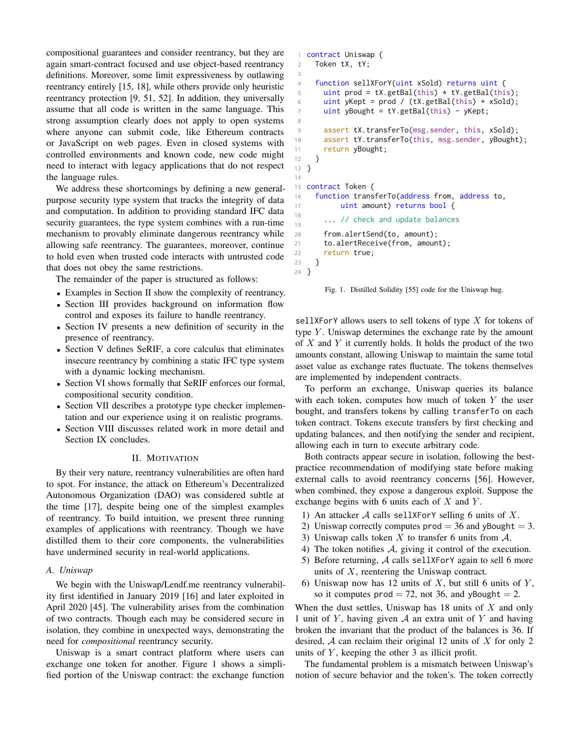compositional guarantees and consider reentrancy, but they are again smart-contract focused and use object-based reentrancy definitions. Moreover, some limit expressiveness by outlawing reentrancy entirely [\[15,](#page-14-3) [18\]](#page-14-4), while others provide only heuristic reentrancy protection [\[9,](#page-14-9) [51,](#page-15-6) [52\]](#page-15-7). In addition, they universally assume that all code is written in the same language. This strong assumption clearly does not apply to open systems where anyone can submit code, like Ethereum contracts or JavaScript on web pages. Even in closed systems with controlled environments and known code, new code might need to interact with legacy applications that do not respect the language rules.

We address these shortcomings by defining a new generalpurpose security type system that tracks the integrity of data and computation. In addition to providing standard IFC data security guarantees, the type system combines with a run-time mechanism to provably eliminate dangerous reentrancy while allowing safe reentrancy. The guarantees, moreover, continue to hold even when trusted code interacts with untrusted code that does not obey the same restrictions.

The remainder of the paper is structured as follows:

- Examples in Section [II](#page-1-0) show the complexity of reentrancy. • Section [III](#page-3-0) provides background on information flow
	- control and exposes its failure to handle reentrancy.
- Section [IV](#page-3-1) presents a new definition of security in the presence of reentrancy.
- Section [V](#page-5-0) defines SeRIF, a core calculus that eliminates insecure reentrancy by combining a static IFC type system with a dynamic locking mechanism.
- Section [VI](#page-9-0) shows formally that SeRIF enforces our formal, compositional security condition.
- Section [VII](#page-11-0) describes a prototype type checker implementation and our experience using it on realistic programs.
- Section [VIII](#page-12-0) discusses related work in more detail and Section [IX](#page-13-4) concludes.

#### II. MOTIVATION

<span id="page-1-0"></span>By their very nature, reentrancy vulnerabilities are often hard to spot. For instance, the attack on Ethereum's Decentralized Autonomous Organization (DAO) was considered subtle at the time [\[17\]](#page-14-10), despite being one of the simplest examples of reentrancy. To build intuition, we present three running examples of applications with reentrancy. Though we have distilled them to their core components, the vulnerabilities have undermined security in real-world applications.

#### <span id="page-1-3"></span>*A. Uniswap*

We begin with the Uniswap/Lendf.me reentrancy vulnerability first identified in January 2019 [\[16\]](#page-14-6) and later exploited in April 2020 [\[45\]](#page-15-1). The vulnerability arises from the combination of two contracts. Though each may be considered secure in isolation, they combine in unexpected ways, demonstrating the need for *compositional* reentrancy security.

Uniswap is a smart contract platform where users can exchange one token for another. Figure [1](#page-1-1) shows a simplified portion of the Uniswap contract: the exchange function

```
1 contract Uniswap {
2 Token tX, tY;
3
4 function sellXForY(uint xSold) returns uint {
5 uint prod = tX.getBal(this) * tY.getBal(this);6 uint yKept = prod / (tX.getBal(this) + xSold);
7 uint yBought = tY.getBal(this) - yKept;
8
9 assert tX.transferTo(msg.sender, this, xSold);
10 assert tY.transferTo(this, msg.sender, yBought);
11 return yBought;
12 }
13 }
14
15 contract Token {
16 function transferTo(address from, address to,
17 uint amount) returns bool {
18
19
      ... // check and update balances
20 from.alertSend(to, amount);
21 to.alertReceive(from, amount);
22 return true;
23 }
24 }
```
<span id="page-1-5"></span><span id="page-1-4"></span>Fig. 1. Distilled Solidity [\[55\]](#page-15-8) code for the Uniswap bug.

sellXForY allows users to sell tokens of type  $X$  for tokens of type  $Y$ . Uniswap determines the exchange rate by the amount of  $X$  and  $Y$  it currently holds. It holds the product of the two amounts constant, allowing Uniswap to maintain the same total asset value as exchange rates fluctuate. The tokens themselves are implemented by independent contracts.

To perform an exchange, Uniswap queries its balance with each token, computes how much of token  $Y$  the user bought, and transfers tokens by calling transferTo on each token contract. Tokens execute transfers by first checking and updating balances, and then notifying the sender and recipient, allowing each in turn to execute arbitrary code.

Both contracts appear secure in isolation, following the bestpractice recommendation of modifying state before making external calls to avoid reentrancy concerns [\[56\]](#page-15-9). However, when combined, they expose a dangerous exploit. Suppose the exchange begins with 6 units each of  $X$  and  $Y$ .

- 1) An attacker  $\mathcal A$  calls sellXForY selling 6 units of X.
- 2) Uniswap correctly computes  $\text{prod} = 36$  and yBought = 3.
- 3) Uniswap calls token X to transfer 6 units from  $\mathcal{A}$ .
- 4) The token notifies A, giving it control of the execution.
- <span id="page-1-2"></span>5) Before returning, A calls sellXForY again to sell 6 more units of  $X$ , reentering the Uniswap contract.
- 6) Uniswap now has 12 units of  $X$ , but still 6 units of  $Y$ , so it computes prod = 72, not 36, and yBought = 2.

When the dust settles, Uniswap has  $18$  units of  $X$  and only 1 unit of  $Y$ , having given  $A$  an extra unit of  $Y$  and having broken the invariant that the product of the balances is 36. If desired,  $A$  can reclaim their original 12 units of  $X$  for only 2 units of  $Y$ , keeping the other 3 as illicit profit.

The fundamental problem is a mismatch between Uniswap's notion of secure behavior and the token's. The token correctly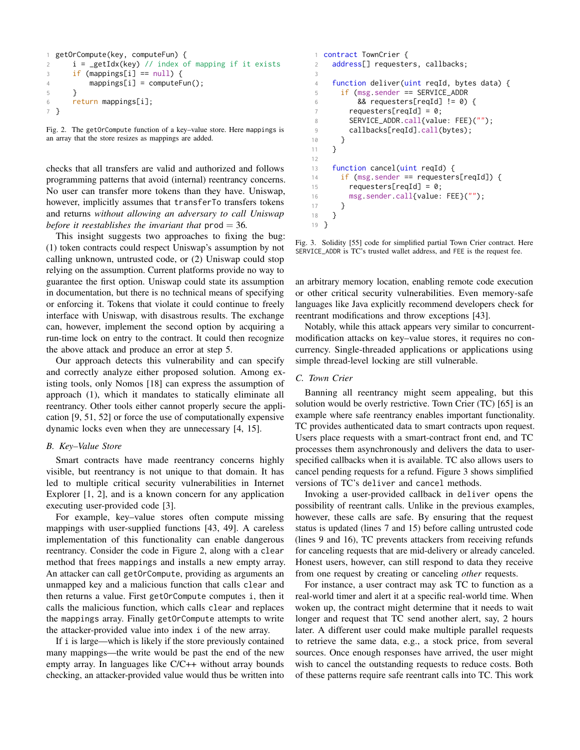```
1 getOrCompute(key, computeFun) {
2 i = getIdx(key) // index of mapping if it exists
3 if (mappings[i] == null) {
4 mappings[i] = computeFun();
5 }
6 return mappings[i];
7 }
```
Fig. 2. The getOrCompute function of a key–value store. Here mappings is an array that the store resizes as mappings are added.

checks that all transfers are valid and authorized and follows programming patterns that avoid (internal) reentrancy concerns. No user can transfer more tokens than they have. Uniswap, however, implicitly assumes that transferTo transfers tokens and returns *without allowing an adversary to call Uniswap before it reestablishes the invariant that*  $prod = 36$ *.* 

This insight suggests two approaches to fixing the bug: (1) token contracts could respect Uniswap's assumption by not calling unknown, untrusted code, or (2) Uniswap could stop relying on the assumption. Current platforms provide no way to guarantee the first option. Uniswap could state its assumption in documentation, but there is no technical means of specifying or enforcing it. Tokens that violate it could continue to freely interface with Uniswap, with disastrous results. The exchange can, however, implement the second option by acquiring a run-time lock on entry to the contract. It could then recognize the above attack and produce an error at step [5.](#page-1-2)

Our approach detects this vulnerability and can specify and correctly analyze either proposed solution. Among existing tools, only Nomos [\[18\]](#page-14-4) can express the assumption of approach (1), which it mandates to statically eliminate all reentrancy. Other tools either cannot properly secure the application [\[9,](#page-14-9) [51,](#page-15-6) [52\]](#page-15-7) or force the use of computationally expensive dynamic locks even when they are unnecessary [\[4,](#page-13-3) [15\]](#page-14-3).

## *B. Key–Value Store*

Smart contracts have made reentrancy concerns highly visible, but reentrancy is not unique to that domain. It has led to multiple critical security vulnerabilities in Internet Explorer  $[1, 2]$  $[1, 2]$  $[1, 2]$ , and is a known concern for any application executing user-provided code [\[3\]](#page-13-2).

For example, key–value stores often compute missing mappings with user-supplied functions [\[43,](#page-15-10) [49\]](#page-15-11). A careless implementation of this functionality can enable dangerous reentrancy. Consider the code in Figure [2,](#page-2-0) along with a clear method that frees mappings and installs a new empty array. An attacker can call getOrCompute, providing as arguments an unmapped key and a malicious function that calls clear and then returns a value. First getOrCompute computes i, then it calls the malicious function, which calls clear and replaces the mappings array. Finally getOrCompute attempts to write the attacker-provided value into index i of the new array.

If i is large—which is likely if the store previously contained many mappings—the write would be past the end of the new empty array. In languages like C/C++ without array bounds checking, an attacker-provided value would thus be written into

```
1 contract TownCrier {
2 address[] requesters, callbacks;
3
4 function deliver(uint reqId, bytes data) {
5 if (msg.sender == SERVICE_ADDR
6 \qquad 88 \text{ requests}[\text{reqId}] := 07 requesters[reqId] = 0;
8 SERVICE_ADDR.call{value: FEE}("");
9 callbacks[reqId].call(bytes);
10 }
11 }
12
13 function cancel(uint reqId) {
14 if (msg.sender == requesters[reqId]) {
15 requesters[reqId] = 0;
16 msg.sender.call{value: FEE}("");
17 }
18 }
19 }
```
<span id="page-2-7"></span><span id="page-2-5"></span><span id="page-2-3"></span>Fig. 3. Solidity [\[55\]](#page-15-8) code for simplified partial Town Crier contract. Here SERVICE\_ADDR is TC's trusted wallet address, and FEE is the request fee.

an arbitrary memory location, enabling remote code execution or other critical security vulnerabilities. Even memory-safe languages like Java explicitly recommend developers check for reentrant modifications and throw exceptions [\[43\]](#page-15-10).

Notably, while this attack appears very similar to concurrentmodification attacks on key–value stores, it requires no concurrency. Single-threaded applications or applications using simple thread-level locking are still vulnerable.

## <span id="page-2-6"></span>*C. Town Crier*

Banning all reentrancy might seem appealing, but this solution would be overly restrictive. Town Crier (TC) [\[65\]](#page-16-0) is an example where safe reentrancy enables important functionality. TC provides authenticated data to smart contracts upon request. Users place requests with a smart-contract front end, and TC processes them asynchronously and delivers the data to userspecified callbacks when it is available. TC also allows users to cancel pending requests for a refund. Figure [3](#page-2-1) shows simplified versions of TC's deliver and cancel methods.

Invoking a user-provided callback in deliver opens the possibility of reentrant calls. Unlike in the previous examples, however, these calls are safe. By ensuring that the request status is updated (lines [7](#page-2-2) and [15\)](#page-2-3) before calling untrusted code (lines [9](#page-2-4) and [16\)](#page-2-5), TC prevents attackers from receiving refunds for canceling requests that are mid-delivery or already canceled. Honest users, however, can still respond to data they receive from one request by creating or canceling *other* requests.

For instance, a user contract may ask TC to function as a real-world timer and alert it at a specific real-world time. When woken up, the contract might determine that it needs to wait longer and request that TC send another alert, say, 2 hours later. A different user could make multiple parallel requests to retrieve the same data, e.g., a stock price, from several sources. Once enough responses have arrived, the user might wish to cancel the outstanding requests to reduce costs. Both of these patterns require safe reentrant calls into TC. This work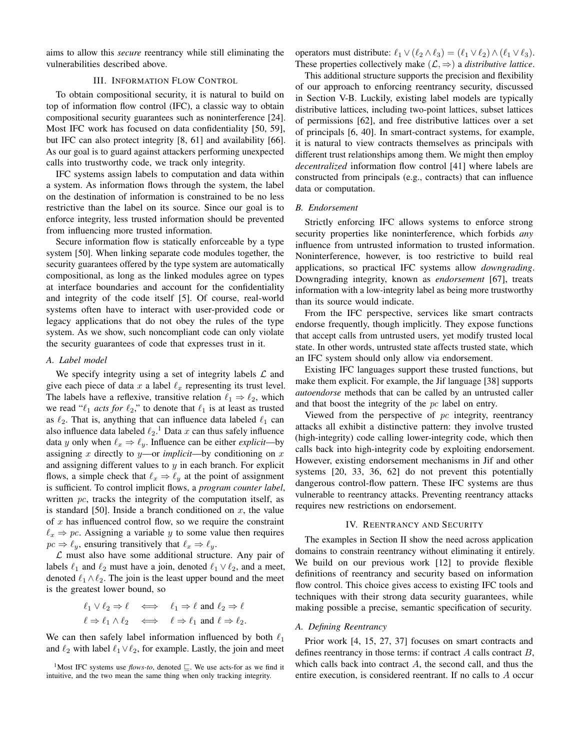aims to allow this *secure* reentrancy while still eliminating the vulnerabilities described above.

## III. INFORMATION FLOW CONTROL

<span id="page-3-0"></span>To obtain compositional security, it is natural to build on top of information flow control (IFC), a classic way to obtain compositional security guarantees such as noninterference [\[24\]](#page-14-11). Most IFC work has focused on data confidentiality [\[50,](#page-15-12) [59\]](#page-15-13), but IFC can also protect integrity [\[8,](#page-14-12) [61\]](#page-15-14) and availability [\[66\]](#page-16-1). As our goal is to guard against attackers performing unexpected calls into trustworthy code, we track only integrity.

IFC systems assign labels to computation and data within a system. As information flows through the system, the label on the destination of information is constrained to be no less restrictive than the label on its source. Since our goal is to enforce integrity, less trusted information should be prevented from influencing more trusted information.

Secure information flow is statically enforceable by a type system [\[50\]](#page-15-12). When linking separate code modules together, the security guarantees offered by the type system are automatically compositional, as long as the linked modules agree on types at interface boundaries and account for the confidentiality and integrity of the code itself [\[5\]](#page-13-5). Of course, real-world systems often have to interact with user-provided code or legacy applications that do not obey the rules of the type system. As we show, such noncompliant code can only violate the security guarantees of code that expresses trust in it.

# <span id="page-3-3"></span>*A. Label model*

We specify integrity using a set of integrity labels  $\mathcal L$  and give each piece of data x a label  $\ell_x$  representing its trust level. The labels have a reflexive, transitive relation  $\ell_1 \Rightarrow \ell_2$ , which we read " $\ell_1$  *acts for*  $\ell_2$ ," to denote that  $\ell_1$  is at least as trusted as  $\ell_2$ . That is, anything that can influence data labeled  $\ell_1$  can also influence data labeled  $\ell_2$ .<sup>[1](#page-3-2)</sup> Data x can thus safely influence data y only when  $\ell_x \Rightarrow \ell_y$ . Influence can be either *explicit*—by assigning x directly to y—or *implicit*—by conditioning on x and assigning different values to  $y$  in each branch. For explicit flows, a simple check that  $\ell_x \Rightarrow \ell_y$  at the point of assignment is sufficient. To control implicit flows, a *program counter label*, written  $pc$ , tracks the integrity of the computation itself, as is standard [\[50\]](#page-15-12). Inside a branch conditioned on  $x$ , the value of  $x$  has influenced control flow, so we require the constraint  $\ell_x \Rightarrow pc$ . Assigning a variable y to some value then requires  $pc \Rightarrow \ell_y$ , ensuring transitively that  $\ell_x \Rightarrow \ell_y$ .

 $\mathcal L$  must also have some additional structure. Any pair of labels  $\ell_1$  and  $\ell_2$  must have a join, denoted  $\ell_1 \vee \ell_2$ , and a meet, denoted  $\ell_1 \wedge \ell_2$ . The join is the least upper bound and the meet is the greatest lower bound, so

$$
\ell_1 \lor \ell_2 \Rightarrow \ell \iff \ell_1 \Rightarrow \ell \text{ and } \ell_2 \Rightarrow \ell
$$
  

$$
\ell \Rightarrow \ell_1 \land \ell_2 \iff \ell \Rightarrow \ell_1 \text{ and } \ell \Rightarrow \ell_2.
$$

We can then safely label information influenced by both  $\ell_1$ and  $\ell_2$  with label  $\ell_1 \vee \ell_2$ , for example. Lastly, the join and meet

<span id="page-3-2"></span><sup>1</sup>Most IFC systems use *flows-to*, denoted  $\sqsubseteq$ . We use acts-for as we find it intuitive, and the two mean the same thing when only tracking integrity.

operators must distribute:  $\ell_1 \vee (\ell_2 \wedge \ell_3) = (\ell_1 \vee \ell_2) \wedge (\ell_1 \vee \ell_3).$ These properties collectively make  $(\mathcal{L}, \Rightarrow)$  a *distributive lattice*.

This additional structure supports the precision and flexibility of our approach to enforcing reentrancy security, discussed in Section [V-B.](#page-6-0) Luckily, existing label models are typically distributive lattices, including two-point lattices, subset lattices of permissions [\[62\]](#page-15-15), and free distributive lattices over a set of principals [\[6,](#page-14-13) [40\]](#page-15-16). In smart-contract systems, for example, it is natural to view contracts themselves as principals with different trust relationships among them. We might then employ *decentralized* information flow control [\[41\]](#page-15-17) where labels are constructed from principals (e.g., contracts) that can influence data or computation.

#### <span id="page-3-4"></span>*B. Endorsement*

Strictly enforcing IFC allows systems to enforce strong security properties like noninterference, which forbids *any* influence from untrusted information to trusted information. Noninterference, however, is too restrictive to build real applications, so practical IFC systems allow *downgrading*. Downgrading integrity, known as *endorsement* [\[67\]](#page-16-2), treats information with a low-integrity label as being more trustworthy than its source would indicate.

From the IFC perspective, services like smart contracts endorse frequently, though implicitly. They expose functions that accept calls from untrusted users, yet modify trusted local state. In other words, untrusted state affects trusted state, which an IFC system should only allow via endorsement.

Existing IFC languages support these trusted functions, but make them explicit. For example, the Jif language [\[38\]](#page-15-18) supports *autoendorse* methods that can be called by an untrusted caller and that boost the integrity of the pc label on entry.

Viewed from the perspective of  $pc$  integrity, reentrancy attacks all exhibit a distinctive pattern: they involve trusted (high-integrity) code calling lower-integrity code, which then calls back into high-integrity code by exploiting endorsement. However, existing endorsement mechanisms in Jif and other systems [\[20,](#page-14-14) [33,](#page-15-19) [36,](#page-15-20) [62\]](#page-15-15) do not prevent this potentially dangerous control-flow pattern. These IFC systems are thus vulnerable to reentrancy attacks. Preventing reentrancy attacks requires new restrictions on endorsement.

## IV. REENTRANCY AND SECURITY

<span id="page-3-1"></span>The examples in Section [II](#page-1-0) show the need across application domains to constrain reentrancy without eliminating it entirely. We build on our previous work [\[12\]](#page-14-7) to provide flexible definitions of reentrancy and security based on information flow control. This choice gives access to existing IFC tools and techniques with their strong data security guarantees, while making possible a precise, semantic specification of security.

#### <span id="page-3-5"></span>*A. Defining Reentrancy*

Prior work [\[4,](#page-13-3) [15,](#page-14-3) [27,](#page-14-5) [37\]](#page-15-5) focuses on smart contracts and defines reentrancy in those terms: if contract  $A$  calls contract  $B$ , which calls back into contract  $A$ , the second call, and thus the entire execution, is considered reentrant. If no calls to A occur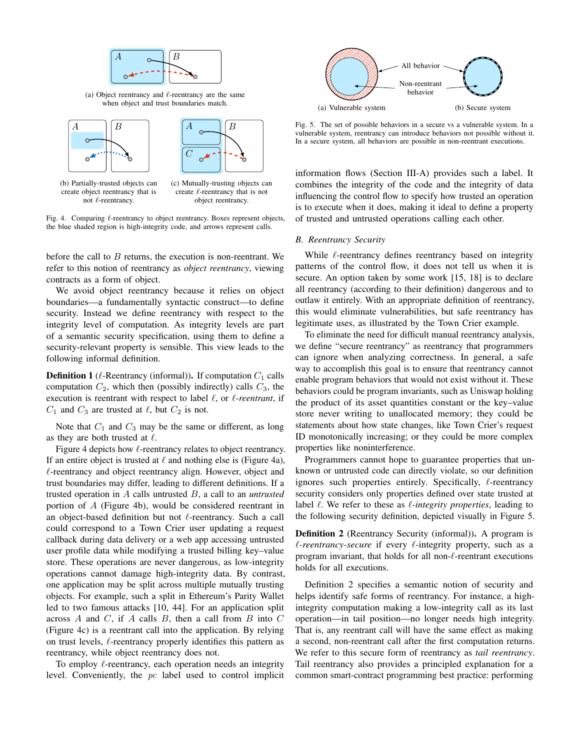<span id="page-4-0"></span>

(a) Object reentrancy and  $\ell$ -reentrancy are the same when object and trust boundaries match.



create  $\ell$ -reentrancy that is not object reentrancy.

Fig. 4. Comparing  $\ell$ -reentrancy to object reentrancy. Boxes represent objects, the blue shaded region is high-integrity code, and arrows represent calls.

not  $\ell$ -reentrancy.

before the call to  $B$  returns, the execution is non-reentrant. We refer to this notion of reentrancy as *object reentrancy*, viewing contracts as a form of object.

We avoid object reentrancy because it relies on object boundaries—a fundamentally syntactic construct—to define security. Instead we define reentrancy with respect to the integrity level of computation. As integrity levels are part of a semantic security specification, using them to define a security-relevant property is sensible. This view leads to the following informal definition.

<span id="page-4-3"></span>**Definition 1** ( $\ell$ -Reentrancy (informal)). If computation  $C_1$  calls computation  $C_2$ , which then (possibly indirectly) calls  $C_3$ , the execution is reentrant with respect to label  $\ell$ , or  $\ell$ -reentrant, if  $C_1$  and  $C_3$  are trusted at  $\ell$ , but  $C_2$  is not.

Note that  $C_1$  and  $C_3$  may be the same or different, as long as they are both trusted at  $\ell$ .

Figure [4](#page-4-0) depicts how  $\ell$ -reentrancy relates to object reentrancy. If an entire object is trusted at  $\ell$  and nothing else is (Figure [4a\)](#page-4-0),  $\ell$ -reentrancy and object reentrancy align. However, object and trust boundaries may differ, leading to different definitions. If a trusted operation in A calls untrusted B, a call to an *untrusted* portion of A (Figure [4b\)](#page-4-0), would be considered reentrant in an object-based definition but not  $\ell$ -reentrancy. Such a call could correspond to a Town Crier user updating a request callback during data delivery or a web app accessing untrusted user profile data while modifying a trusted billing key–value store. These operations are never dangerous, as low-integrity operations cannot damage high-integrity data. By contrast, one application may be split across multiple mutually trusting objects. For example, such a split in Ethereum's Parity Wallet led to two famous attacks [\[10,](#page-14-15) [44\]](#page-15-0). For an application split across  $A$  and  $C$ , if  $A$  calls  $B$ , then a call from  $B$  into  $C$ (Figure [4c\)](#page-4-0) is a reentrant call into the application. By relying on trust levels,  $\ell$ -reentrancy properly identifies this pattern as reentrancy, while object reentrancy does not.

To employ  $\ell$ -reentrancy, each operation needs an integrity level. Conveniently, the pc label used to control implicit

<span id="page-4-1"></span>

Fig. 5. The set of possible behaviors in a secure vs a vulnerable system. In a vulnerable system, reentrancy can introduce behaviors not possible without it. In a secure system, all behaviors are possible in non-reentrant executions.

information flows (Section [III-A\)](#page-3-3) provides such a label. It combines the integrity of the code and the integrity of data influencing the control flow to specify how trusted an operation is to execute when it does, making it ideal to define a property of trusted and untrusted operations calling each other.

#### <span id="page-4-4"></span>*B. Reentrancy Security*

While  $\ell$ -reentrancy defines reentrancy based on integrity patterns of the control flow, it does not tell us when it is secure. An option taken by some work [\[15,](#page-14-3) [18\]](#page-14-4) is to declare all reentrancy (according to their definition) dangerous and to outlaw it entirely. With an appropriate definition of reentrancy, this would eliminate vulnerabilities, but safe reentrancy has legitimate uses, as illustrated by the Town Crier example.

To eliminate the need for difficult manual reentrancy analysis, we define "secure reentrancy" as reentrancy that programmers can ignore when analyzing correctness. In general, a safe way to accomplish this goal is to ensure that reentrancy cannot enable program behaviors that would not exist without it. These behaviors could be program invariants, such as Uniswap holding the product of its asset quantities constant or the key–value store never writing to unallocated memory; they could be statements about how state changes, like Town Crier's request ID monotonically increasing; or they could be more complex properties like noninterference.

Programmers cannot hope to guarantee properties that unknown or untrusted code can directly violate, so our definition ignores such properties entirely. Specifically,  $\ell$ -reentrancy security considers only properties defined over state trusted at label  $\ell$ . We refer to these as  $\ell$ -integrity properties, leading to the following security definition, depicted visually in Figure [5.](#page-4-1)

<span id="page-4-2"></span>Definition 2 (Reentrancy Security (informal)). A program is  $\ell$ -reentrancy-secure if every  $\ell$ -integrity property, such as a program invariant, that holds for all non- $\ell$ -reentrant executions holds for all executions.

Definition [2](#page-4-2) specifies a semantic notion of security and helps identify safe forms of reentrancy. For instance, a highintegrity computation making a low-integrity call as its last operation—in tail position—no longer needs high integrity. That is, any reentrant call will have the same effect as making a second, non-reentrant call after the first computation returns. We refer to this secure form of reentrancy as *tail reentrancy*. Tail reentrancy also provides a principled explanation for a common smart-contract programming best practice: performing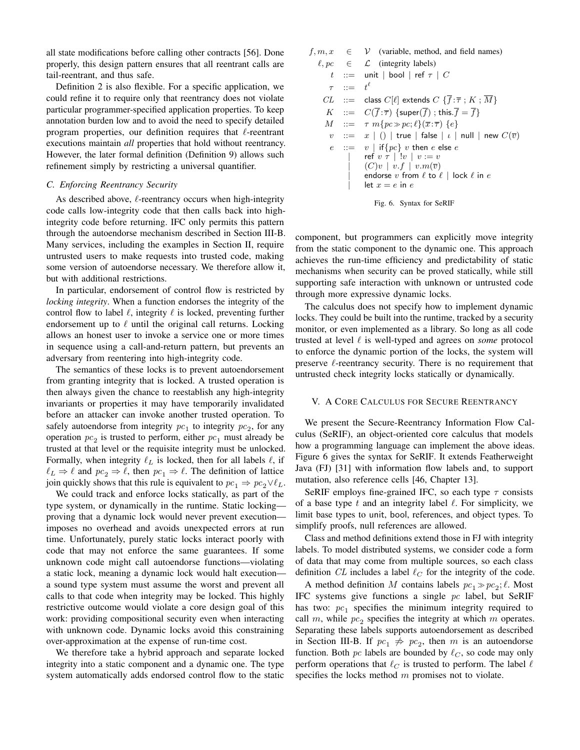all state modifications before calling other contracts [\[56\]](#page-15-9). Done properly, this design pattern ensures that all reentrant calls are tail-reentrant, and thus safe.

Definition [2](#page-4-2) is also flexible. For a specific application, we could refine it to require only that reentrancy does not violate particular programmer-specified application properties. To keep annotation burden low and to avoid the need to specify detailed program properties, our definition requires that  $\ell$ -reentrant executions maintain *all* properties that hold without reentrancy. However, the later formal definition (Definition [9\)](#page-11-1) allows such refinement simply by restricting a universal quantifier.

### *C. Enforcing Reentrancy Security*

As described above,  $\ell$ -reentrancy occurs when high-integrity code calls low-integrity code that then calls back into highintegrity code before returning. IFC only permits this pattern through the autoendorse mechanism described in Section [III-B.](#page-3-4) Many services, including the examples in Section [II,](#page-1-0) require untrusted users to make requests into trusted code, making some version of autoendorse necessary. We therefore allow it, but with additional restrictions.

In particular, endorsement of control flow is restricted by *locking integrity*. When a function endorses the integrity of the control flow to label  $\ell$ , integrity  $\ell$  is locked, preventing further endorsement up to  $\ell$  until the original call returns. Locking allows an honest user to invoke a service one or more times in sequence using a call-and-return pattern, but prevents an adversary from reentering into high-integrity code.

The semantics of these locks is to prevent autoendorsement from granting integrity that is locked. A trusted operation is then always given the chance to reestablish any high-integrity invariants or properties it may have temporarily invalidated before an attacker can invoke another trusted operation. To safely autoendorse from integrity  $pc<sub>1</sub>$  to integrity  $pc<sub>2</sub>$ , for any operation  $pc_2$  is trusted to perform, either  $pc_1$  must already be trusted at that level or the requisite integrity must be unlocked. Formally, when integrity  $\ell_L$  is locked, then for all labels  $\ell$ , if  $\ell_L \Rightarrow \ell$  and  $pc_2 \Rightarrow \ell$ , then  $pc_1 \Rightarrow \ell$ . The definition of lattice join quickly shows that this rule is equivalent to  $pc_1 \Rightarrow pc_2 \lor \ell_L$ .

We could track and enforce locks statically, as part of the type system, or dynamically in the runtime. Static locking proving that a dynamic lock would never prevent execution imposes no overhead and avoids unexpected errors at run time. Unfortunately, purely static locks interact poorly with code that may not enforce the same guarantees. If some unknown code might call autoendorse functions—violating a static lock, meaning a dynamic lock would halt execution a sound type system must assume the worst and prevent all calls to that code when integrity may be locked. This highly restrictive outcome would violate a core design goal of this work: providing compositional security even when interacting with unknown code. Dynamic locks avoid this constraining over-approximation at the expense of run-time cost.

We therefore take a hybrid approach and separate locked integrity into a static component and a dynamic one. The type system automatically adds endorsed control flow to the static

<span id="page-5-1"></span>
$$
f, m, x \in \mathcal{V} \text{ (variable, method, and field names)}
$$
\n
$$
\ell, pc \in \mathcal{L} \text{ (integrity labels)}
$$
\n
$$
t ::= unit \mid \text{bool} \mid \text{ref } \tau \mid C
$$
\n
$$
\tau ::= t^{\ell}
$$
\n
$$
CL ::= class C[\ell] \text{ extends } C \{\overline{f} : \overline{\tau} ; K ; \overline{M}\}
$$
\n
$$
K ::= C(\overline{f} : \overline{\tau}) \{\text{super}(\overline{f}) ; \text{this.} \overline{f} = \overline{f}\}
$$
\n
$$
M ::= \tau m \{pc \gg pc; \ell \} (\overline{x} : \overline{\tau}) \{e\}
$$
\n
$$
v ::= x \mid () \mid \text{true} \mid \text{false} \mid \iota \mid \text{null} \mid \text{new } C(\overline{v})
$$
\n
$$
e ::= v \mid \text{if} \{pc\} \ v \text{ then } e \text{ else } e
$$
\n
$$
| \text{ref } v \tau \mid !v \mid v := v
$$
\n
$$
(C)v \mid v.f \mid v.m(\overline{v})
$$
\n
$$
endorse \ v \text{ from } \ell \text{ to } \ell \mid \text{lock } \ell \text{ in } e
$$
\n
$$
let x = e \text{ in } e
$$



component, but programmers can explicitly move integrity from the static component to the dynamic one. This approach achieves the run-time efficiency and predictability of static mechanisms when security can be proved statically, while still supporting safe interaction with unknown or untrusted code through more expressive dynamic locks.

The calculus does not specify how to implement dynamic locks. They could be built into the runtime, tracked by a security monitor, or even implemented as a library. So long as all code trusted at level  $\ell$  is well-typed and agrees on *some* protocol to enforce the dynamic portion of the locks, the system will preserve  $\ell$ -reentrancy security. There is no requirement that untrusted check integrity locks statically or dynamically.

#### <span id="page-5-0"></span>V. A CORE CALCULUS FOR SECURE REENTRANCY

We present the Secure-Reentrancy Information Flow Calculus (SeRIF), an object-oriented core calculus that models how a programming language can implement the above ideas. Figure [6](#page-5-1) gives the syntax for SeRIF. It extends Featherweight Java (FJ) [\[31\]](#page-14-16) with information flow labels and, to support mutation, also reference cells [\[46,](#page-15-21) Chapter 13].

SeRIF employs fine-grained IFC, so each type  $\tau$  consists of a base type  $t$  and an integrity label  $\ell$ . For simplicity, we limit base types to unit, bool, references, and object types. To simplify proofs, null references are allowed.

Class and method definitions extend those in FJ with integrity labels. To model distributed systems, we consider code a form of data that may come from multiple sources, so each class definition CL includes a label  $\ell_C$  for the integrity of the code.

A method definition M contains labels  $pc_1 \gg pc_2$ ;  $\ell$ . Most IFC systems give functions a single pc label, but SeRIF has two:  $pc<sub>1</sub>$  specifies the minimum integrity required to call m, while  $pc<sub>2</sub>$  specifies the integrity at which m operates. Separating these labels supports autoendorsement as described in Section [III-B.](#page-3-4) If  $pc_1 \not\Rightarrow pc_2$ , then m is an autoendorse function. Both pc labels are bounded by  $\ell_C$ , so code may only perform operations that  $\ell_C$  is trusted to perform. The label  $\ell$ specifies the locks method m promises not to violate.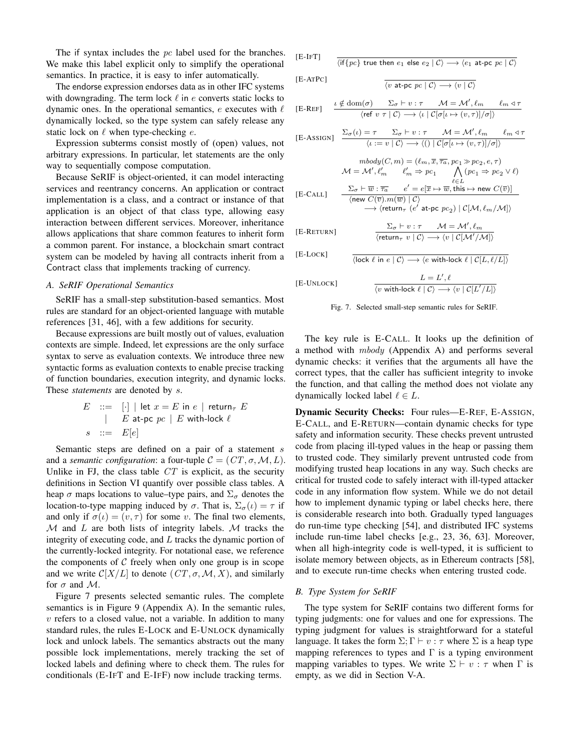The if syntax includes the pc label used for the branches. We make this label explicit only to simplify the operational semantics. In practice, it is easy to infer automatically.

The endorse expression endorses data as in other IFC systems with downgrading. The term lock  $\ell$  in  $e$  converts static locks to dynamic ones. In the operational semantics, e executes with  $\ell$ dynamically locked, so the type system can safely release any static lock on  $\ell$  when type-checking  $e$ .

Expression subterms consist mostly of (open) values, not arbitrary expressions. In particular, let statements are the only way to sequentially compose computation.

Because SeRIF is object-oriented, it can model interacting services and reentrancy concerns. An application or contract implementation is a class, and a contract or instance of that application is an object of that class type, allowing easy interaction between different services. Moreover, inheritance allows applications that share common features to inherit form a common parent. For instance, a blockchain smart contract system can be modeled by having all contracts inherit from a Contract class that implements tracking of currency.

#### <span id="page-6-2"></span>*A. SeRIF Operational Semantics*

SeRIF has a small-step substitution-based semantics. Most rules are standard for an object-oriented language with mutable references [\[31,](#page-14-16) [46\]](#page-15-21), with a few additions for security.

Because expressions are built mostly out of values, evaluation contexts are simple. Indeed, let expressions are the only surface syntax to serve as evaluation contexts. We introduce three new syntactic forms as evaluation contexts to enable precise tracking of function boundaries, execution integrity, and dynamic locks. These *statements* are denoted by s.

$$
E \quad ::= \quad [\cdot] \mid \text{let } x = E \text{ in } e \mid \text{return}_{\tau} \ E
$$
\n
$$
\mid \quad E \text{ at-pc } pc \mid E \text{ with-lock } \ell
$$
\n
$$
s \quad ::= \quad E[e]
$$

Semantic steps are defined on a pair of a statement s and a *semantic configuration*: a four-tuple  $C = (CT, \sigma, \mathcal{M}, L)$ . Unlike in FJ, the class table  $CT$  is explicit, as the security definitions in Section [VI](#page-9-0) quantify over possible class tables. A heap  $\sigma$  maps locations to value–type pairs, and  $\Sigma_{\sigma}$  denotes the location-to-type mapping induced by  $\sigma$ . That is,  $\Sigma_{\sigma}(\iota) = \tau$  if and only if  $\sigma(\iota) = (v, \tau)$  for some v. The final two elements,  $M$  and  $L$  are both lists of integrity labels.  $M$  tracks the integrity of executing code, and L tracks the dynamic portion of the currently-locked integrity. For notational ease, we reference the components of  $C$  freely when only one group is in scope and we write  $\mathcal{C}[X/L]$  to denote  $(CT, \sigma, \mathcal{M}, X)$ , and similarly for  $\sigma$  and M.

Figure [7](#page-6-1) presents selected semantic rules. The complete semantics is in Figure [9](#page-16-3) (Appendix [A\)](#page-16-4). In the semantic rules,  $v$  refers to a closed value, not a variable. In addition to many standard rules, the rules [E-L](#page-6-1)OCK and E-U[NLOCK](#page-6-1) dynamically lock and unlock labels. The semantics abstracts out the many possible lock implementations, merely tracking the set of locked labels and defining where to check them. The rules for conditionals [\(E-I](#page-6-1)FT and [E-I](#page-16-3)FF) now include tracking terms.

<span id="page-6-1"></span>
$$
[E\text{-}IFT] \qquad \overline{\langle \text{if} \{pc\} \text{ true then } e_1 \text{ else } e_2 \mid C \rangle \longrightarrow \langle e_1 \text{ at-pc } pc \mid C \rangle}
$$

[E-ATPC]  $\overline{\langle v \text{ at-pc } pc \mid \mathcal{C} \rangle \longrightarrow \langle v \mid \mathcal{C} \rangle}$ 

$$
\text{[E-REF]} \quad \begin{array}{ll} \frac{\iota \notin \mathrm{dom}(\sigma) \quad \ \ \Sigma_{\sigma} \vdash v : \tau \quad \ \ \mathcal{M} = \mathcal{M}', \ell_m \quad \ \ell_m \lhd \tau \\ \langle \mathrm{ref}\ v \ \tau \mid \mathcal{C} \rangle \longrightarrow \langle \iota \mid \mathcal{C}[\sigma[\iota \mapsto (v, \tau)] / \sigma] \rangle \end{array}
$$

$$
\text{[E-ASSIGN]} \quad \frac{\Sigma_{\sigma}(\iota) = \tau \quad \Sigma_{\sigma} \vdash v : \tau \quad \mathcal{M} = \mathcal{M}', \ell_m \quad \ell_m \triangleleft \tau}{\langle \iota := v \mid \mathcal{C} \rangle \longrightarrow \langle \iota \rangle \mid \mathcal{C}[\sigma[\iota \mapsto (v, \tau)] / \sigma] \rangle}
$$

$$
\begin{array}{cc} \textit{mbody}(C,m) = (\ell_m, \overline{x}, \overline{\tau_a}, pc_1 \gg pc_2, e, \tau) \\ \mathcal{M} = \mathcal{M}', \ell'_m & \ell'_m \Rightarrow pc_1 & \bigwedge_{\ell \in L} (pc_1 \Rightarrow pc_2 \vee \ell) \\ \text{[E-CAL]} & \xrightarrow{\sum_{\sigma} \vdash \overline{w} : \overline{\tau_a} & e' = e[\overline{x} \mapsto \overline{w}, \text{this} \mapsto \text{new } C(\overline{v})] \\ & \xrightarrow{\sum_{\sigma} \vdash \overline{w} : \overline{\tau_a} & e' = e[\overline{x} \mapsto \overline{w}, \text{this} \mapsto \text{new } C(\overline{v})] \\ & \xrightarrow{\text{\\ }} \langle \text{return}_{\tau} \ (e' \text{ at-pc } pc_2) \mid \mathcal{C}[\mathcal{M}, \ell_m/\mathcal{M}] \rangle \end{array}
$$

$$
\text{[E-RETURN]} \qquad \qquad \frac{\Sigma_{\sigma} \vdash v : \tau \qquad \mathcal{M} = \mathcal{M}', \ell_{m}}{\langle \text{return}_{\tau} \ v \mid \mathcal{C} \rangle \longrightarrow \langle v \mid \mathcal{C}[\mathcal{M}'/\mathcal{M}] \rangle}
$$

[E-LOCK]

[E-UNLOCK]

Fig. 7. Selected small-step semantic rules for SeRIF.

 $\overline{\langle \text{lock } \ell \text{ in } e \mid \mathcal{C} \rangle \longrightarrow \langle e \text{ with-lock } \ell \mid \mathcal{C}[L, \ell/L] \rangle}$ 

 $L = L', \ell$  $\overline{\langle v \text{ with-lock } \ell | \mathcal{C} \rangle \longrightarrow \langle v | \mathcal{C}[L'/L] \rangle}$ 

The key rule is [E-C](#page-6-1)ALL. It looks up the definition of a method with mbody (Appendix [A\)](#page-16-4) and performs several dynamic checks: it verifies that the arguments all have the correct types, that the caller has sufficient integrity to invoke the function, and that calling the method does not violate any dynamically locked label  $\ell \in L$ .

Dynamic Security Checks: Four rules[—E-R](#page-6-1)EF, E-A[SSIGN](#page-6-1), [E-C](#page-6-1)ALL, and E-R[ETURN](#page-6-1)—contain dynamic checks for type safety and information security. These checks prevent untrusted code from placing ill-typed values in the heap or passing them to trusted code. They similarly prevent untrusted code from modifying trusted heap locations in any way. Such checks are critical for trusted code to safely interact with ill-typed attacker code in any information flow system. While we do not detail how to implement dynamic typing or label checks here, there is considerable research into both. Gradually typed languages do run-time type checking [\[54\]](#page-15-22), and distributed IFC systems include run-time label checks [e.g., [23,](#page-14-17) [36,](#page-15-20) [63\]](#page-15-23). Moreover, when all high-integrity code is well-typed, it is sufficient to isolate memory between objects, as in Ethereum contracts [\[58\]](#page-15-24), and to execute run-time checks when entering trusted code.

## <span id="page-6-0"></span>*B. Type System for SeRIF*

The type system for SeRIF contains two different forms for typing judgments: one for values and one for expressions. The typing judgment for values is straightforward for a stateful language. It takes the form  $\Sigma$ ;  $\Gamma \vdash v : \tau$  where  $\Sigma$  is a heap type mapping references to types and  $\Gamma$  is a typing environment mapping variables to types. We write  $\Sigma \vdash v : \tau$  when  $\Gamma$  is empty, as we did in Section [V-A.](#page-6-2)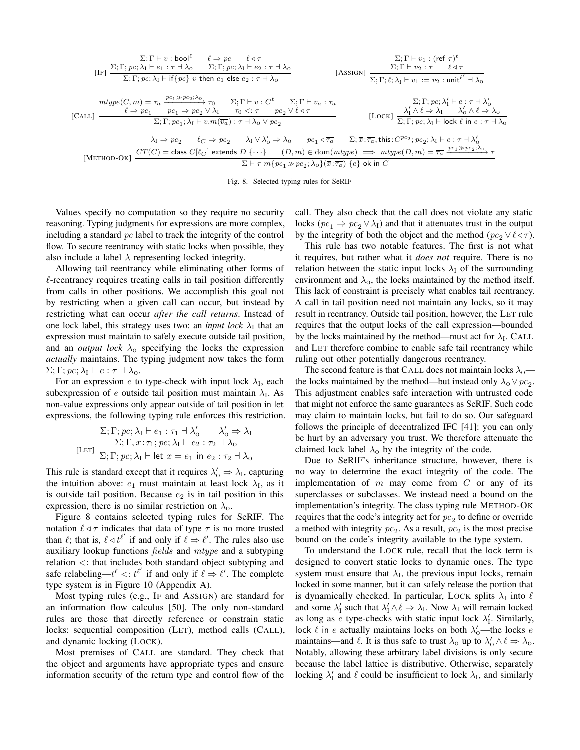<span id="page-7-0"></span>
$$
\Sigma; \Gamma \vdash v : \text{bool}^{\ell} \qquad \ell \Rightarrow pc \qquad \ell \triangleleft \tau
$$
\n
$$
[\text{IF}] \quad \frac{\Sigma; \Gamma; pc; \lambda_{\text{I}} \vdash e_{1} : \tau \dashv \lambda_{0} \qquad \Sigma; \Gamma; pc; \lambda_{\text{I}} \vdash e_{2} : \tau \dashv \lambda_{0}}{\Sigma; \Gamma; pc; \lambda_{\text{I}} \vdash \text{if} \{pc\} \ v \text{ then } e_{1} \text{ else } e_{2} : \tau \dashv \lambda_{0}} \qquad \text{[ASSIGN]} \quad \frac{\Sigma; \Gamma \vdash v_{1} : (\text{ref } \tau)^{\ell}}{\Sigma; \Gamma; \ell; \lambda_{\text{I}} \vdash v_{1} : = v_{2} : \text{unit}^{\ell'} \dashv \lambda_{0}}
$$
\n
$$
\text{mype}(C, m) = \overline{\tau_{a}} \xrightarrow{pc_{1} \gg pc_{2}; \lambda_{0}} \tau_{0} \qquad \Sigma; \Gamma \vdash v : C^{\ell} \qquad \Sigma; \Gamma \vdash \overline{v_{a}} : \overline{\tau_{a}} \qquad \qquad \Sigma; \Gamma; pc; \lambda_{\text{I}} \vdash v := v_{2} : \text{unit}^{\ell'} \dashv \lambda_{0}
$$
\n
$$
[\text{CAL}] \quad \frac{\ell \Rightarrow pc_{1}}{\Sigma; \Gamma; pc; \lambda_{1} \vdash v.m(\overline{v_{a}}) : \tau \dashv \lambda_{0} \lor pc_{2}} \qquad [\text{Lock}] \quad \frac{\lambda_{\text{I}}' \land \ell \Rightarrow \lambda_{\text{I}} \quad \lambda_{0}' \land \ell \Rightarrow \lambda_{0}}{\Sigma; \Gamma; pc; \lambda_{1} \vdash \text{lock} \ell \text{ in } e : \tau \dashv \lambda_{0}}
$$
\n
$$
\lambda_{\text{I}} \Rightarrow pc_{2} \qquad \ell_{C} \Rightarrow pc_{2} \qquad \lambda_{\text{I}} \lor \lambda_{0}' \Rightarrow \lambda_{0} \qquad pc_{1} \triangleleft \overline{\tau_{a}} \qquad \Sigma; \overline{x} : \overline{\tau_{a}}, \text{this} : C^{pc_{2}}; pc_{2}; \lambda_{\text{I}} \vdash e : \tau \dashv \lambda_{0}' \land \ell \Rightarrow \lambda_{0}
$$
\n
$$
[\text{METHOD-OK}] \quad \frac{CT(C) =
$$

Fig. 8. Selected typing rules for SeRIF

Values specify no computation so they require no security reasoning. Typing judgments for expressions are more complex, including a standard  $pc$  label to track the integrity of the control flow. To secure reentrancy with static locks when possible, they also include a label  $\lambda$  representing locked integrity.

Allowing tail reentrancy while eliminating other forms of  $\ell$ -reentrancy requires treating calls in tail position differently from calls in other positions. We accomplish this goal not by restricting when a given call can occur, but instead by restricting what can occur *after the call returns*. Instead of one lock label, this strategy uses two: an *input lock*  $\lambda_I$  that an expression must maintain to safely execute outside tail position, and an *output lock*  $\lambda_0$  specifying the locks the expression *actually* maintains. The typing judgment now takes the form  $\Sigma; \Gamma; pc; \lambda_I \vdash e : \tau \dashv \lambda_0.$ 

For an expression  $e$  to type-check with input lock  $\lambda_I$ , each subexpression of e outside tail position must maintain  $\lambda_I$ . As non-value expressions only appear outside of tail position in let expressions, the following typing rule enforces this restriction.

$$
\Sigma; \Gamma; pc; \lambda_{\rm I} \vdash e_1 : \tau_1 \dashv \lambda_0' \qquad \lambda_0' \Rightarrow \lambda_{\rm I}
$$

$$
\Sigma; \Gamma, x : \tau_1; pc; \lambda_{\rm I} \vdash e_2 : \tau_2 \dashv \lambda_0
$$

$$
[\text{LET}]\ \sum; \Gamma; pc; \lambda_{\rm I} \vdash \text{let } x = e_1 \text{ in } e_2 : \tau_2 \dashv \lambda_0
$$

This rule is standard except that it requires  $\lambda'_0 \Rightarrow \lambda_I$ , capturing the intuition above:  $e_1$  must maintain at least lock  $\lambda_I$ , as it is outside tail position. Because  $e_2$  is in tail position in this expression, there is no similar restriction on  $\lambda_0$ .

Figure [8](#page-7-0) contains selected typing rules for SeRIF. The notation  $\ell \triangleleft \tau$  indicates that data of type  $\tau$  is no more trusted than  $\ell$ ; that is,  $\ell \triangleleft t^{\ell'}$  if and only if  $\ell \Rightarrow \ell'$ . The rules also use auxiliary lookup functions fields and mtype and a subtyping relation <: that includes both standard object subtyping and safe relabeling— $t^{\ell}$  <:  $t^{\ell'}$  if and only if  $\ell \Rightarrow \ell'$ . The complete type system is in Figure [10](#page-17-0) (Appendix [A\)](#page-16-4).

Most typing rules (e.g., I[F](#page-7-0) and A[SSIGN](#page-7-0)) are standard for an information flow calculus [\[50\]](#page-15-12). The only non-standard rules are those that directly reference or constrain static locks: sequential composition (L[ET](#page-7-0)), method calls (C[ALL](#page-7-0)), and dynamic locking (L[OCK](#page-7-0)).

Most premises of C[ALL](#page-7-0) are standard. They check that the object and arguments have appropriate types and ensure information security of the return type and control flow of the call. They also check that the call does not violate any static locks ( $pc_1 \Rightarrow pc_2 \vee \lambda_I$ ) and that it attenuates trust in the output by the integrity of both the object and the method ( $pc_2 \vee \ell \triangleleft \tau$ ).

This rule has two notable features. The first is not what it requires, but rather what it *does not* require. There is no relation between the static input locks  $\lambda_I$  of the surrounding environment and  $\lambda_0$ , the locks maintained by the method itself. This lack of constraint is precisely what enables tail reentrancy. A call in tail position need not maintain any locks, so it may result in reentrancy. Outside tail position, however, the L[ET](#page-7-0) rule requires that the output locks of the call expression—bounded by the locks maintained by the method—must act for  $\lambda_I$ . C[ALL](#page-7-0) and L[ET](#page-7-0) therefore combine to enable safe tail reentrancy while ruling out other potentially dangerous reentrancy.

The second feature is that C[ALL](#page-7-0) does not maintain locks  $\lambda_0$  the locks maintained by the method—but instead only  $\lambda_0 \vee pc_2$ . This adjustment enables safe interaction with untrusted code that might not enforce the same guarantees as SeRIF. Such code may claim to maintain locks, but fail to do so. Our safeguard follows the principle of decentralized IFC [\[41\]](#page-15-17): you can only be hurt by an adversary you trust. We therefore attenuate the claimed lock label  $\lambda_0$  by the integrity of the code.

Due to SeRIF's inheritance structure, however, there is no way to determine the exact integrity of the code. The implementation of  $m$  may come from  $C$  or any of its superclasses or subclasses. We instead need a bound on the implementation's integrity. The class typing rule M[ETHOD](#page-7-0)-OK requires that the code's integrity act for  $pc<sub>2</sub>$  to define or override a method with integrity  $pc<sub>2</sub>$ . As a result,  $pc<sub>2</sub>$  is the most precise bound on the code's integrity available to the type system.

To understand the L[OCK](#page-7-0) rule, recall that the lock term is designed to convert static locks to dynamic ones. The type system must ensure that  $\lambda_I$ , the previous input locks, remain locked in some manner, but it can safely release the portion that is dynamically checked. In particular, L[OCK](#page-7-0) splits  $\lambda_I$  into  $\ell$ and some  $\lambda'_I$  such that  $\lambda'_I \wedge \ell \Rightarrow \lambda_I$ . Now  $\lambda_I$  will remain locked as long as e type-checks with static input lock  $\lambda'_1$ . Similarly, lock  $\ell$  in e actually maintains locks on both  $\lambda'_0$ —the locks e maintains—and  $\ell$ . It is thus safe to trust  $\lambda_0$  up to  $\lambda'_0 \wedge \ell \Rightarrow \lambda_0$ . Notably, allowing these arbitrary label divisions is only secure because the label lattice is distributive. Otherwise, separately locking  $\lambda'_I$  and  $\ell$  could be insufficient to lock  $\lambda_I$ , and similarly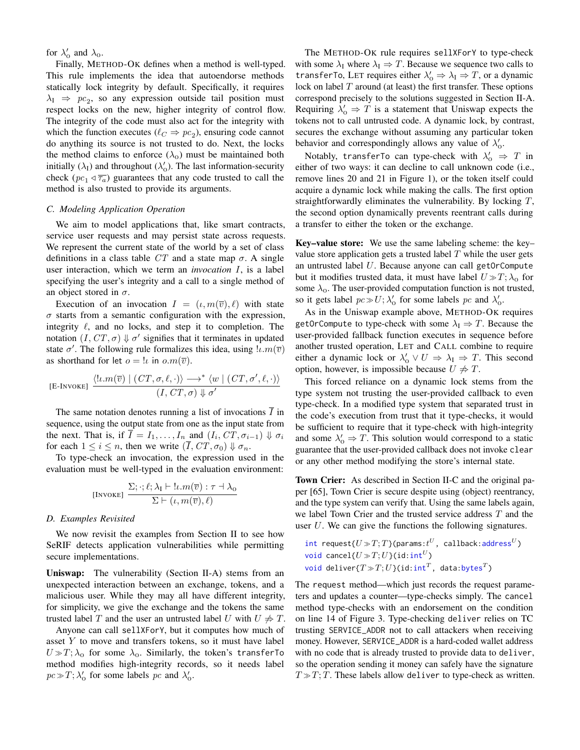for  $\lambda'_0$  and  $\lambda_0$ .

Finally, M[ETHOD](#page-7-0)-OK defines when a method is well-typed. This rule implements the idea that autoendorse methods statically lock integrity by default. Specifically, it requires  $\lambda_I \Rightarrow pc_2$ , so any expression outside tail position must respect locks on the new, higher integrity of control flow. The integrity of the code must also act for the integrity with which the function executes ( $\ell_C \Rightarrow pc_2$ ), ensuring code cannot do anything its source is not trusted to do. Next, the locks the method claims to enforce  $(\lambda_0)$  must be maintained both initially  $(\lambda_I)$  and throughout  $(\lambda'_0)$ . The last information-security check  $(pc_1 \triangleleft \overline{\tau_a}$ ) guarantees that any code trusted to call the method is also trusted to provide its arguments.

#### *C. Modeling Application Operation*

We aim to model applications that, like smart contracts, service user requests and may persist state across requests. We represent the current state of the world by a set of class definitions in a class table  $CT$  and a state map  $\sigma$ . A single user interaction, which we term an *invocation* I, is a label specifying the user's integrity and a call to a single method of an object stored in  $\sigma$ .

Execution of an invocation  $I = (\iota, m(\overline{v}), \ell)$  with state  $\sigma$  starts from a semantic configuration with the expression, integrity  $\ell$ , and no locks, and step it to completion. The notation  $(I, CT, \sigma) \Downarrow \sigma'$  signifies that it terminates in updated state  $\sigma'$ . The following rule formalizes this idea, using  $\ell \cdot m(\overline{v})$ as shorthand for let  $o = \iota$  in  $o.m(\overline{v})$ .

$$
\begin{array}{c}\text{[E-INVOKE]} \ \frac{\langle l\iota.m(\overline{v}) \mid (\mathit{CT},\sigma,\ell,\cdot) \rangle \longrightarrow^* \langle w \mid (\mathit{CT},\sigma',\ell,\cdot) \rangle}{(\mathit{I},\mathit{CT},\sigma) \Downarrow \sigma'}\end{array}
$$

The same notation denotes running a list of invocations  $\overline{I}$  in sequence, using the output state from one as the input state from the next. That is, if  $\overline{I} = I_1, \ldots, I_n$  and  $(I_i, CT, \sigma_{i-1}) \Downarrow \sigma_i$ for each  $1 \leq i \leq n$ , then we write  $(\overline{I}, CT, \sigma_0) \Downarrow \sigma_n$ .

To type-check an invocation, the expression used in the evaluation must be well-typed in the evaluation environment:

[INVOKE] 
$$
\frac{\Sigma; \cdot; \ell; \lambda_I \vdash !\iota.m(\overline{v}) : \tau \dashv \lambda_0}{\Sigma \vdash (\iota, m(\overline{v}), \ell)}
$$

#### <span id="page-8-0"></span>*D. Examples Revisited*

We now revisit the examples from Section [II](#page-1-0) to see how SeRIF detects application vulnerabilities while permitting secure implementations.

Uniswap: The vulnerability (Section [II-A\)](#page-1-3) stems from an unexpected interaction between an exchange, tokens, and a malicious user. While they may all have different integrity, for simplicity, we give the exchange and the tokens the same trusted label T and the user an untrusted label U with  $U \neq T$ .

Anyone can call sellXForY, but it computes how much of asset  $Y$  to move and transfers tokens, so it must have label  $U \gg T$ ;  $\lambda_0$  for some  $\lambda_0$ . Similarly, the token's transferTo method modifies high-integrity records, so it needs label  $pc \gg T$ ;  $\lambda'_0$  for some labels pc and  $\lambda'_0$ .

The M[ETHOD](#page-7-0)-OK rule requires sellXForY to type-check with some  $\lambda_I$  where  $\lambda_I \Rightarrow T$ . Because we sequence two calls to transferTo, L[ET](#page-7-0) requires either  $\lambda'_0 \Rightarrow \lambda_I \Rightarrow T$ , or a dynamic lock on label  $T$  around (at least) the first transfer. These options correspond precisely to the solutions suggested in Section [II-A.](#page-1-3) Requiring  $\lambda'_0 \Rightarrow T$  is a statement that Uniswap expects the tokens not to call untrusted code. A dynamic lock, by contrast, secures the exchange without assuming any particular token behavior and correspondingly allows any value of  $\lambda'_0$ .

Notably, transferTo can type-check with  $\lambda'_0$   $\Rightarrow$  T in either of two ways: it can decline to call unknown code (i.e., remove lines [20](#page-1-4) and [21](#page-1-5) in Figure [1\)](#page-1-1), or the token itself could acquire a dynamic lock while making the calls. The first option straightforwardly eliminates the vulnerability. By locking  $T$ , the second option dynamically prevents reentrant calls during a transfer to either the token or the exchange.

Key–value store: We use the same labeling scheme: the key– value store application gets a trusted label  $T$  while the user gets an untrusted label  $U$ . Because anyone can call getOrCompute but it modifies trusted data, it must have label  $U \gg T$ ;  $\lambda_0$  for some  $\lambda_0$ . The user-provided computation function is not trusted, so it gets label  $pc \gg U; \lambda'_0$  for some labels  $pc$  and  $\lambda'_0$ .

As in the Uniswap example above, M[ETHOD](#page-7-0)-OK requires getOrCompute to type-check with some  $\lambda_I \Rightarrow T$ . Because the user-provided fallback function executes in sequence before another trusted operation, L[ET](#page-7-0) and C[ALL](#page-7-0) combine to require either a dynamic lock or  $\lambda'_0 \vee U \Rightarrow \lambda_I \Rightarrow T$ . This second option, however, is impossible because  $U \neq T$ .

This forced reliance on a dynamic lock stems from the type system not trusting the user-provided callback to even type-check. In a modified type system that separated trust in the code's execution from trust that it type-checks, it would be sufficient to require that it type-check with high-integrity and some  $\lambda'_0 \Rightarrow T$ . This solution would correspond to a static guarantee that the user-provided callback does not invoke clear or any other method modifying the store's internal state.

Town Crier: As described in Section [II-C](#page-2-6) and the original paper [\[65\]](#page-16-0), Town Crier is secure despite using (object) reentrancy, and the type system can verify that. Using the same labels again, we label Town Crier and the trusted service address T and the user  $U$ . We can give the functions the following signatures.

$$
\begin{aligned} & \text{int request} \{U \gg T; T\}(\text{params}: t^U, \text{ callback:address}^U) \\ & \text{void cancel} \{U \gg T; U\}(\text{id}: \text{int}^U) \\ & \text{void deliver} \{T \gg T; U\}(\text{id}: \text{int}^T, \text{ data:bytes}^T) \end{aligned}
$$

The request method—which just records the request parameters and updates a counter—type-checks simply. The cancel method type-checks with an endorsement on the condition on line [14](#page-2-7) of Figure [3.](#page-2-1) Type-checking deliver relies on TC trusting SERVICE\_ADDR not to call attackers when receiving money. However, SERVICE\_ADDR is a hard-coded wallet address with no code that is already trusted to provide data to deliver, so the operation sending it money can safely have the signature  $T \gg T$ ; T. These labels allow deliver to type-check as written.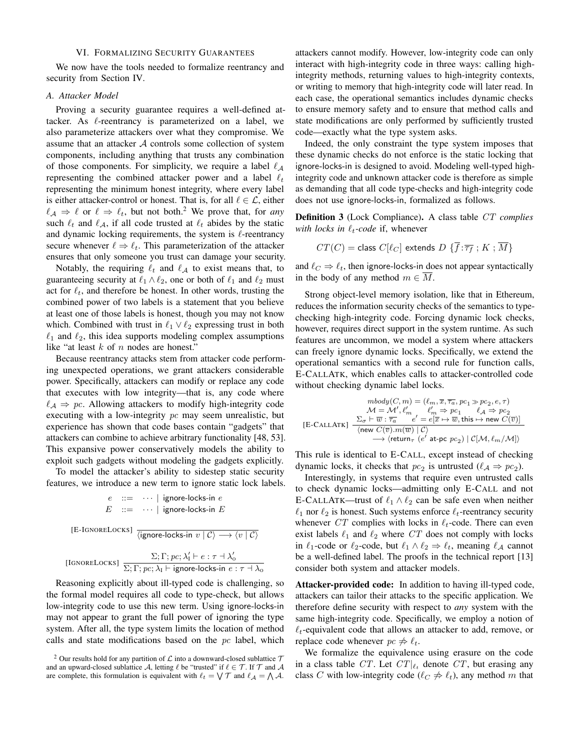## VI. FORMALIZING SECURITY GUARANTEES

<span id="page-9-0"></span>We now have the tools needed to formalize reentrancy and security from Section [IV.](#page-3-1)

## *A. Attacker Model*

Proving a security guarantee requires a well-defined attacker. As  $\ell$ -reentrancy is parameterized on a label, we also parameterize attackers over what they compromise. We assume that an attacker A controls some collection of system components, including anything that trusts any combination of those components. For simplicity, we require a label  $\ell_A$ representing the combined attacker power and a label  $\ell_t$ representing the minimum honest integrity, where every label is either attacker-control or honest. That is, for all  $\ell \in \mathcal{L}$ , either  $\ell_A \Rightarrow \ell$  or  $\ell \Rightarrow \ell_t$ , but not both.<sup>[2](#page-9-1)</sup> We prove that, for *any* such  $\ell_t$  and  $\ell_A$ , if all code trusted at  $\ell_t$  abides by the static and dynamic locking requirements, the system is  $\ell$ -reentrancy secure whenever  $\ell \Rightarrow \ell_t$ . This parameterization of the attacker ensures that only someone you trust can damage your security.

Notably, the requiring  $\ell_t$  and  $\ell_A$  to exist means that, to guaranteeing security at  $\ell_1 \wedge \ell_2$ , one or both of  $\ell_1$  and  $\ell_2$  must act for  $\ell_t$ , and therefore be honest. In other words, trusting the combined power of two labels is a statement that you believe at least one of those labels is honest, though you may not know which. Combined with trust in  $\ell_1 \vee \ell_2$  expressing trust in both  $\ell_1$  and  $\ell_2$ , this idea supports modeling complex assumptions like "at least  $k$  of  $n$  nodes are honest."

Because reentrancy attacks stem from attacker code performing unexpected operations, we grant attackers considerable power. Specifically, attackers can modify or replace any code that executes with low integrity—that is, any code where  $\ell_A \Rightarrow pc$ . Allowing attackers to modify high-integrity code executing with a low-integrity pc may seem unrealistic, but experience has shown that code bases contain "gadgets" that attackers can combine to achieve arbitrary functionality [\[48,](#page-15-25) [53\]](#page-15-26). This expansive power conservatively models the ability to exploit such gadgets without modeling the gadgets explicitly.

To model the attacker's ability to sidestep static security features, we introduce a new term to ignore static lock labels.

$$
e ::= \cdots | \text{ ignore-locks-in } e
$$
  
\n
$$
E ::= \cdots | \text{ ignore-locks-in } E
$$
  
\n[E-IGNORELocks]  $\frac{}{\langle \text{ignore-locks-in } v | C \rangle \longrightarrow \langle v | C \rangle}$   
\n[IGNORELocks]  $\frac{\Sigma; \Gamma; pc; \lambda_1' \vdash e : \tau \dashv \lambda_0'}{\Sigma; \Gamma; pc; \lambda_1 \vdash \text{ignore-locks-in } e : \tau \dashv \lambda_0}$ 

Reasoning explicitly about ill-typed code is challenging, so the formal model requires all code to type-check, but allows low-integrity code to use this new term. Using ignore-locks-in may not appear to grant the full power of ignoring the type system. After all, the type system limits the location of method calls and state modifications based on the  $pc$  label, which attackers cannot modify. However, low-integrity code can only interact with high-integrity code in three ways: calling highintegrity methods, returning values to high-integrity contexts, or writing to memory that high-integrity code will later read. In each case, the operational semantics includes dynamic checks to ensure memory safety and to ensure that method calls and state modifications are only performed by sufficiently trusted code—exactly what the type system asks.

Indeed, the only constraint the type system imposes that these dynamic checks do not enforce is the static locking that ignore-locks-in is designed to avoid. Modeling well-typed highintegrity code and unknown attacker code is therefore as simple as demanding that all code type-checks and high-integrity code does not use ignore-locks-in, formalized as follows.

<span id="page-9-2"></span>Definition 3 (Lock Compliance). A class table CT *complies with locks in*  $\ell_t$ -code if, whenever

$$
CT(C) = \text{class } C[\ell_C] \text{ extends } D \{\overline{f} : \overline{\tau_f} ; K ; \overline{M}\}
$$

and  $\ell_C \Rightarrow \ell_t$ , then ignore-locks-in does not appear syntactically in the body of any method  $m \in \overline{M}$ .

Strong object-level memory isolation, like that in Ethereum, reduces the information security checks of the semantics to typechecking high-integrity code. Forcing dynamic lock checks, however, requires direct support in the system runtime. As such features are uncommon, we model a system where attackers can freely ignore dynamic locks. Specifically, we extend the operational semantics with a second rule for function calls, [E-C](#page-9-2)ALLATK, which enables calls to attacker-controlled code without checking dynamic label locks.

$$
\begin{array}{c} \operatorname{mbody}(C,m) = (\ell_m, \overline{x}, \overline{\tau_a}, pc_1 \gg pc_2, e, \tau) \\ \mathcal{M} = \mathcal{M}', \ell'_m \qquad \ell'_m \Rightarrow pc_1 \qquad \ell_A \Rightarrow pc_2 \\ \text{[E-CALLATK]} \quad \frac{\Sigma_\sigma \vdash \overline{w} : \overline{\tau_a} \qquad e' = e[\overline{x} \mapsto \overline{w}, \text{this} \mapsto \text{new } C(\overline{v})]}{\langle \text{new } C(\overline{v}).m(\overline{w}) \mid \mathcal{C} \rangle} \\ \longrightarrow \langle \text{return}_{\tau} \ (e' \text{ at-pc } pc_2) \mid \mathcal{C}[\mathcal{M}, \ell_m/\mathcal{M}] \rangle \end{array}
$$

This rule is identical to [E-C](#page-6-1)ALL, except instead of checking dynamic locks, it checks that  $pc_2$  is untrusted  $(\ell_A \Rightarrow pc_2)$ .

Interestingly, in systems that require even untrusted calls to check dynamic locks—admitting only [E-C](#page-6-1)ALL and not [E-C](#page-9-2)ALLATK—trust of  $\ell_1 \wedge \ell_2$  can be safe even when neither  $\ell_1$  nor  $\ell_2$  is honest. Such systems enforce  $\ell_t$ -reentrancy security whenever CT complies with locks in  $\ell_t$ -code. There can even exist labels  $\ell_1$  and  $\ell_2$  where CT does not comply with locks in  $\ell_1$ -code or  $\ell_2$ -code, but  $\ell_1 \wedge \ell_2 \Rightarrow \ell_t$ , meaning  $\ell_A$  cannot be a well-defined label. The proofs in the technical report [\[13\]](#page-14-18) consider both system and attacker models.

Attacker-provided code: In addition to having ill-typed code, attackers can tailor their attacks to the specific application. We therefore define security with respect to *any* system with the same high-integrity code. Specifically, we employ a notion of  $\ell_t$ -equivalent code that allows an attacker to add, remove, or replace code whenever  $pc \neq \ell_t$ .

We formalize the equivalence using erasure on the code in a class table CT. Let  $CT|_{\ell_t}$  denote CT, but erasing any class C with low-integrity code ( $\ell_C \neq \ell_t$ ), any method m that

<span id="page-9-1"></span><sup>&</sup>lt;sup>2</sup> Our results hold for any partition of  $\mathcal L$  into a downward-closed sublattice  $\mathcal T$ and an upward-closed sublattice A, letting  $\ell$  be "trusted" if  $\ell \in \mathcal{T}$ . If  $\mathcal{T}$  and A are complete, this formulation is equivalent with  $\ell_t = \bigvee \mathcal{T}$  and  $\ell_A = \bigwedge \mathcal{A}$ .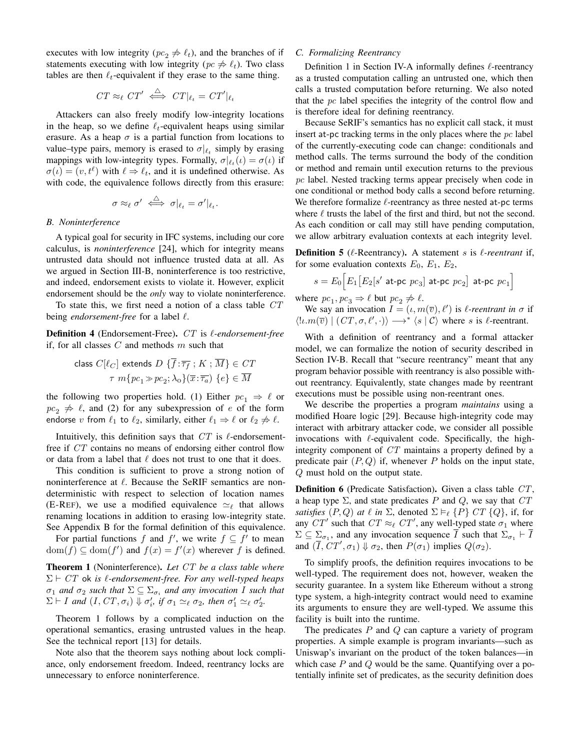executes with low integrity ( $pc_2 \nightharpoonup \ell_t$ ), and the branches of if statements executing with low integrity ( $pc \neq \ell_t$ ). Two class tables are then  $\ell_t$ -equivalent if they erase to the same thing.

$$
CT \approx_{\ell} CT' \iff CT|_{\ell_t} = CT'|_{\ell_t}
$$

Attackers can also freely modify low-integrity locations in the heap, so we define  $\ell_t$ -equivalent heaps using similar erasure. As a heap  $\sigma$  is a partial function from locations to value–type pairs, memory is erased to  $\sigma|_{\ell_t}$  simply by erasing mappings with low-integrity types. Formally,  $\sigma|_{\ell_t}(\iota) = \sigma(\iota)$  if  $\sigma(\iota) = (v, t^{\ell})$  with  $\ell \Rightarrow \ell_t$ , and it is undefined otherwise. As with code, the equivalence follows directly from this erasure:

$$
\sigma \approx_\ell \sigma' \iff \sigma|_{\ell_t} = \sigma'|_{\ell_t}.
$$

#### *B. Noninterference*

A typical goal for security in IFC systems, including our core calculus, is *noninterference* [\[24\]](#page-14-11), which for integrity means untrusted data should not influence trusted data at all. As we argued in Section [III-B,](#page-3-4) noninterference is too restrictive, and indeed, endorsement exists to violate it. However, explicit endorsement should be the *only* way to violate noninterference.

To state this, we first need a notion of a class table CT being *endorsement-free* for a label  $\ell$ .

Definition 4 (Endorsement-Free). CT is  $\ell$ -endorsement-free if, for all classes  $C$  and methods  $m$  such that

$$
\begin{aligned} \text{class } C[\ell_C] \text{ extends } D \text{ } \{ \overline{f} : \overline{\tau_f} \text{ ; } K \text{ ; } \overline{M} \} \in \text{CT} \\ \tau \text{ } m\{pc_1 \gg pc_2; \lambda_0\}(\overline{x} : \overline{\tau_a}) \text{ } \{ e \} \in \overline{M} \end{aligned}
$$

the following two properties hold. (1) Either  $pc_1 \Rightarrow l$  or  $pc_2 \nightharpoonup \ell$ , and (2) for any subexpression of e of the form endorse v from  $\ell_1$  to  $\ell_2$ , similarly, either  $\ell_1 \Rightarrow \ell$  or  $\ell_2 \not\Rightarrow \ell$ .

Intuitively, this definition says that  $CT$  is  $\ell$ -endorsementfree if CT contains no means of endorsing either control flow or data from a label that  $\ell$  does not trust to one that it does.

This condition is sufficient to prove a strong notion of noninterference at  $\ell$ . Because the SeRIF semantics are nondeterministic with respect to selection of location names [\(E-R](#page-6-1)EF), we use a modified equivalence  $\simeq_{\ell}$  that allows renaming locations in addition to erasing low-integrity state. See Appendix [B](#page-16-5) for the formal definition of this equivalence.

For partial functions f and f', we write  $f \subseteq f'$  to mean  $dom(f) \subseteq dom(f')$  and  $f(x) = f'(x)$  wherever f is defined.

<span id="page-10-0"></span>Theorem 1 (Noninterference). *Let* CT *be a class table where*  $\Sigma \vdash CT$  ok *is*  $\ell$ -endorsement-free. For any well-typed heaps  $\sigma_1$  and  $\sigma_2$  such that  $\Sigma \subseteq \Sigma_{\sigma_i}$  and any invocation I such that  $\Sigma \vdash I$  and  $(I, CT, \sigma_i) \Downarrow \sigma'_i$ , if  $\sigma_1 \simeq_{\ell} \sigma_2$ , then  $\sigma'_1 \simeq_{\ell} \sigma'_2$ .

Theorem [1](#page-10-0) follows by a complicated induction on the operational semantics, erasing untrusted values in the heap. See the technical report [\[13\]](#page-14-18) for details.

Note also that the theorem says nothing about lock compliance, only endorsement freedom. Indeed, reentrancy locks are unnecessary to enforce noninterference.

## *C. Formalizing Reentrancy*

Definition [1](#page-4-3) in Section [IV-A](#page-3-5) informally defines  $\ell$ -reentrancy as a trusted computation calling an untrusted one, which then calls a trusted computation before returning. We also noted that the pc label specifies the integrity of the control flow and is therefore ideal for defining reentrancy.

Because SeRIF's semantics has no explicit call stack, it must insert at-pc tracking terms in the only places where the  $pc$  label of the currently-executing code can change: conditionals and method calls. The terms surround the body of the condition or method and remain until execution returns to the previous pc label. Nested tracking terms appear precisely when code in one conditional or method body calls a second before returning. We therefore formalize  $\ell$ -reentrancy as three nested at-pc terms where  $\ell$  trusts the label of the first and third, but not the second. As each condition or call may still have pending computation, we allow arbitrary evaluation contexts at each integrity level.

<span id="page-10-2"></span>**Definition 5** ( $\ell$ -Reentrancy). A statement s is  $\ell$ -reentrant if, for some evaluation contexts  $E_0$ ,  $E_1$ ,  $E_2$ ,

$$
s = E_0 \Big[ E_1 \big[ E_2 \big[ s' \text{ at-pc } p c_3 \big] \text{ at-pc } p c_2 \Big] \text{ at-pc } p c_1 \Big]
$$

where  $pc_1, pc_3 \Rightarrow \ell$  but  $pc_2 \not\Rightarrow \ell$ .

We say an invocation  $I = (\iota, m(\overline{v}), \ell')$  is  $\ell$ -reentrant in  $\sigma$  if  $\langle l \iota.m(\overline{v}) \mid (CT, \sigma, \ell', \cdot) \rangle \longrightarrow^* \langle s | \mathcal{C} \rangle$  where s is  $\ell$ -reentrant.

With a definition of reentrancy and a formal attacker model, we can formalize the notion of security described in Section [IV-B.](#page-4-4) Recall that "secure reentrancy" meant that any program behavior possible with reentrancy is also possible without reentrancy. Equivalently, state changes made by reentrant executions must be possible using non-reentrant ones.

We describe the properties a program *maintains* using a modified Hoare logic [\[29\]](#page-14-19). Because high-integrity code may interact with arbitrary attacker code, we consider all possible invocations with  $\ell$ -equivalent code. Specifically, the highintegrity component of CT maintains a property defined by a predicate pair  $(P, Q)$  if, whenever P holds on the input state, Q must hold on the output state.

<span id="page-10-1"></span>Definition 6 (Predicate Satisfaction). Given a class table CT, a heap type  $\Sigma$ , and state predicates P and Q, we say that  $CT$ *satisfies*  $(P, Q)$  *at*  $\ell$  *in*  $\Sigma$ , denoted  $\Sigma \models_{\ell} \{P\} \, CT \, \{Q\}$ , if, for any  $CT'$  such that  $CT \approx_{\ell} CT'$ , any well-typed state  $\sigma_1$  where  $\Sigma \subseteq \Sigma_{\sigma_1}$ , and any invocation sequence I such that  $\Sigma_{\sigma_1} \vdash I$ and  $(\overline{I}, \overline{CT}', \sigma_1) \Downarrow \sigma_2$ , then  $P(\sigma_1)$  implies  $Q(\sigma_2)$ .

To simplify proofs, the definition requires invocations to be well-typed. The requirement does not, however, weaken the security guarantee. In a system like Ethereum without a strong type system, a high-integrity contract would need to examine its arguments to ensure they are well-typed. We assume this facility is built into the runtime.

The predicates  $P$  and  $Q$  can capture a variety of program properties. A simple example is program invariants—such as Uniswap's invariant on the product of the token balances—in which case  $P$  and  $Q$  would be the same. Quantifying over a potentially infinite set of predicates, as the security definition does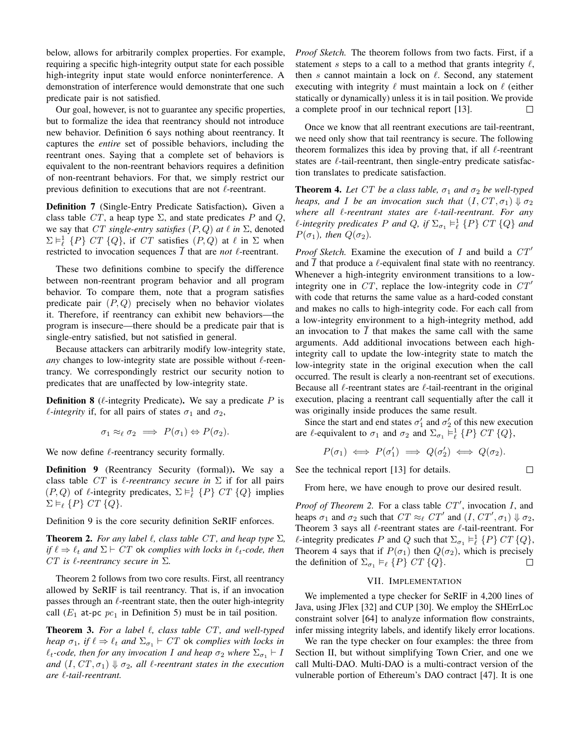below, allows for arbitrarily complex properties. For example, requiring a specific high-integrity output state for each possible high-integrity input state would enforce noninterference. A demonstration of interference would demonstrate that one such predicate pair is not satisfied.

Our goal, however, is not to guarantee any specific properties, but to formalize the idea that reentrancy should not introduce new behavior. Definition [6](#page-10-1) says nothing about reentrancy. It captures the *entire* set of possible behaviors, including the reentrant ones. Saying that a complete set of behaviors is equivalent to the non-reentrant behaviors requires a definition of non-reentrant behaviors. For that, we simply restrict our previous definition to executions that are not  $\ell$ -reentrant.

Definition 7 (Single-Entry Predicate Satisfaction). Given a class table CT, a heap type  $\Sigma$ , and state predicates P and Q, we say that CT single-entry satisfies  $(P, Q)$  at  $\ell$  in  $\Sigma$ , denoted  $\Sigma \vDash_{\ell}^1 \{P\} \, CT \, \{Q\}$ , if  $CT$  satisfies  $(P, Q)$  at  $\ell$  in  $\Sigma$  when restricted to invocation sequences  $\overline{I}$  that are *not*  $\ell$ -reentrant.

These two definitions combine to specify the difference between non-reentrant program behavior and all program behavior. To compare them, note that a program satisfies predicate pair  $(P, Q)$  precisely when no behavior violates it. Therefore, if reentrancy can exhibit new behaviors—the program is insecure—there should be a predicate pair that is single-entry satisfied, but not satisfied in general.

Because attackers can arbitrarily modify low-integrity state, *any* changes to low-integrity state are possible without  $\ell$ -reentrancy. We correspondingly restrict our security notion to predicates that are unaffected by low-integrity state.

**Definition 8** ( $\ell$ -integrity Predicate). We say a predicate P is *l*-integrity if, for all pairs of states  $\sigma_1$  and  $\sigma_2$ ,

$$
\sigma_1 \approx_{\ell} \sigma_2 \implies P(\sigma_1) \Leftrightarrow P(\sigma_2).
$$

We now define  $\ell$ -reentrancy security formally.

<span id="page-11-1"></span>Definition 9 (Reentrancy Security (formal)). We say a class table  $CT$  is  $\ell$ -reentrancy secure in  $\Sigma$  if for all pairs  $(P, Q)$  of  $\ell$ -integrity predicates,  $\Sigma \vDash_{\ell}^1 \{P\}$   $CT \{Q\}$  implies  $\Sigma \vDash_{\ell} \{P\} \, CT \, \{Q\}.$ 

Definition [9](#page-11-1) is the core security definition SeRIF enforces.

<span id="page-11-2"></span>**Theorem 2.** For any label  $\ell$ , class table CT, and heap type  $\Sigma$ , *if*  $\ell \Rightarrow \ell_t$  and  $\Sigma \vdash CT$  ok *complies with locks in*  $\ell_t$ -code, then CT is  $\ell$ -reentrancy secure in  $\Sigma$ .

Theorem [2](#page-11-2) follows from two core results. First, all reentrancy allowed by SeRIF is tail reentrancy. That is, if an invocation passes through an  $\ell$ -reentrant state, then the outer high-integrity call ( $E_1$  at-pc  $pc_1$  in Definition [5\)](#page-10-2) must be in tail position.

<span id="page-11-3"></span>Theorem 3. *For a label* `*, class table* CT*, and well-typed heap*  $\sigma_1$ *, if*  $\ell \Rightarrow \ell_t$  *and*  $\Sigma_{\sigma_1} \vdash CT$  ok *complies with locks in*  $\ell_t$ -code, then for any invocation I and heap  $\sigma_2$  where  $\Sigma_{\sigma_1} \vdash I$ *and*  $(I, CT, \sigma_1) \Downarrow \sigma_2$ *, all l-reentrant states in the execution are* `*-tail-reentrant.*

*Proof Sketch.* The theorem follows from two facts. First, if a statement s steps to a call to a method that grants integrity  $\ell$ , then s cannot maintain a lock on  $\ell$ . Second, any statement executing with integrity  $\ell$  must maintain a lock on  $\ell$  (either statically or dynamically) unless it is in tail position. We provide a complete proof in our technical report [\[13\]](#page-14-18).  $\Box$ 

Once we know that all reentrant executions are tail-reentrant, we need only show that tail reentrancy is secure. The following theorem formalizes this idea by proving that, if all  $\ell$ -reentrant states are  $\ell$ -tail-reentrant, then single-entry predicate satisfaction translates to predicate satisfaction.

<span id="page-11-4"></span>**Theorem 4.** Let CT be a class table,  $\sigma_1$  and  $\sigma_2$  be well-typed *heaps, and I be an invocation such that*  $(I, CT, \sigma_1) \Downarrow \sigma_2$ *where all* `*-reentrant states are* `*-tail-reentrant. For any*  $\ell$ -integrity predicates P and Q, if  $\Sigma_{\sigma_1} \vDash_{\ell}^1 \{P\}$  CT  $\{Q\}$  and  $P(\sigma_1)$ *, then*  $Q(\sigma_2)$ *.* 

*Proof Sketch.* Examine the execution of I and build a  $CT'$ and  $\overline{I}$  that produce a  $\ell$ -equivalent final state with no reentrancy. Whenever a high-integrity environment transitions to a lowintegrity one in  $CT$ , replace the low-integrity code in  $CT'$ with code that returns the same value as a hard-coded constant and makes no calls to high-integrity code. For each call from a low-integrity environment to a high-integrity method, add an invocation to  $\overline{I}$  that makes the same call with the same arguments. Add additional invocations between each highintegrity call to update the low-integrity state to match the low-integrity state in the original execution when the call occurred. The result is clearly a non-reentrant set of executions. Because all  $\ell$ -reentrant states are  $\ell$ -tail-reentrant in the original execution, placing a reentrant call sequentially after the call it was originally inside produces the same result.

Since the start and end states  $\sigma'_1$  and  $\sigma'_2$  of this new execution are  $\ell$ -equivalent to  $\sigma_1$  and  $\sigma_2$  and  $\Sigma_{\sigma_1} \vDash^1_{\ell} \{P\} C T \{Q\},\$ 

$$
P(\sigma_1) \iff P(\sigma'_1) \implies Q(\sigma'_2) \iff Q(\sigma_2).
$$

 $\Box$ 

See the technical report [\[13\]](#page-14-18) for details.

From here, we have enough to prove our desired result.

*Proof of Theorem [2.](#page-11-2)* For a class table  $CT'$ , invocation I, and heaps  $\sigma_1$  and  $\sigma_2$  such that  $CT \approx_{\ell} CT'$  and  $(I, CT', \sigma_1) \Downarrow \sigma_2$ , Theorem [3](#page-11-3) says all  $\ell$ -reentrant states are  $\ell$ -tail-reentrant. For  $\ell$ -integrity predicates P and Q such that  $\Sigma_{\sigma_1} \vDash_{\ell}^1 \{P\} C T \{Q\},$ Theorem [4](#page-11-4) says that if  $P(\sigma_1)$  then  $Q(\sigma_2)$ , which is precisely the definition of  $\Sigma_{\sigma_1} \vDash_{\ell} \{P\} CT \{Q\}.$  $\Box$ 

## VII. IMPLEMENTATION

<span id="page-11-0"></span>We implemented a type checker for SeRIF in 4,200 lines of Java, using JFlex [\[32\]](#page-14-20) and CUP [\[30\]](#page-14-21). We employ the SHErrLoc constraint solver [\[64\]](#page-16-6) to analyze information flow constraints, infer missing integrity labels, and identify likely error locations.

We ran the type checker on four examples: the three from Section [II,](#page-1-0) but without simplifying Town Crier, and one we call Multi-DAO. Multi-DAO is a multi-contract version of the vulnerable portion of Ethereum's DAO contract [\[47\]](#page-15-2). It is one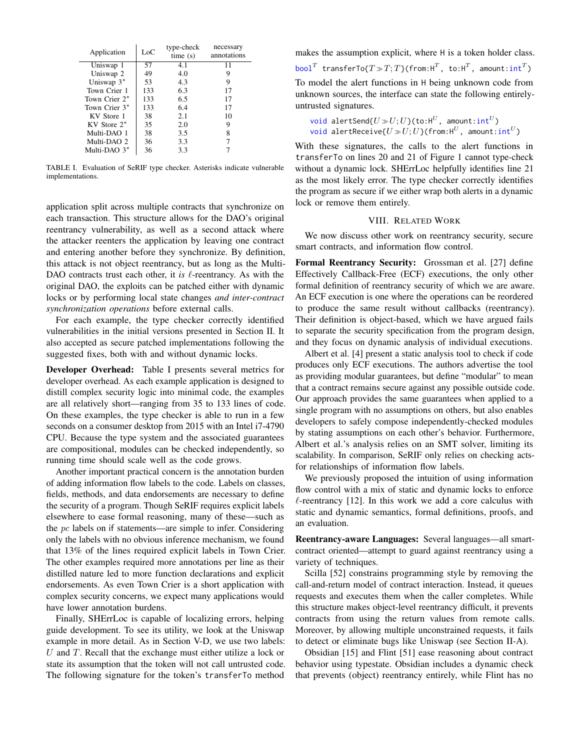<span id="page-12-1"></span>

| Application      | $_{\rm LoC}$ | type-check<br>time(s) | necessary<br>annotations |
|------------------|--------------|-----------------------|--------------------------|
| Uniswap 1        | 57           | 4.1                   | 11                       |
| Uniswap 2        | 49           | 4.0                   | 9                        |
| Uniswap $3^*$    | 53           | 4.3                   | 9                        |
| Town Crier 1     | 133          | 6.3                   | 17                       |
| Town Crier 2*    | 133          | 6.5                   | 17                       |
| Town Crier 3*    | 133          | 6.4                   | 17                       |
| KV Store 1       | 38           | 2.1                   | 10                       |
| $KV$ Store $2^*$ | 35           | 2.0                   | 9                        |
| Multi-DAO 1      | 38           | 3.5                   | 8                        |
| Multi-DAO 2      | 36           | 3.3                   |                          |
| Multi-DAO $3*$   | 36           | 3.3                   |                          |

TABLE I. Evaluation of SeRIF type checker. Asterisks indicate vulnerable implementations.

application split across multiple contracts that synchronize on each transaction. This structure allows for the DAO's original reentrancy vulnerability, as well as a second attack where the attacker reenters the application by leaving one contract and entering another before they synchronize. By definition, this attack is not object reentrancy, but as long as the Multi-DAO contracts trust each other, it *is*  $\ell$ -reentrancy. As with the original DAO, the exploits can be patched either with dynamic locks or by performing local state changes *and inter-contract synchronization operations* before external calls.

For each example, the type checker correctly identified vulnerabilities in the initial versions presented in Section [II.](#page-1-0) It also accepted as secure patched implementations following the suggested fixes, both with and without dynamic locks.

Developer Overhead: Table [I](#page-12-1) presents several metrics for developer overhead. As each example application is designed to distill complex security logic into minimal code, the examples are all relatively short—ranging from 35 to 133 lines of code. On these examples, the type checker is able to run in a few seconds on a consumer desktop from 2015 with an Intel i7-4790 CPU. Because the type system and the associated guarantees are compositional, modules can be checked independently, so running time should scale well as the code grows.

Another important practical concern is the annotation burden of adding information flow labels to the code. Labels on classes, fields, methods, and data endorsements are necessary to define the security of a program. Though SeRIF requires explicit labels elsewhere to ease formal reasoning, many of these—such as the  $pc$  labels on if statements—are simple to infer. Considering only the labels with no obvious inference mechanism, we found that 13% of the lines required explicit labels in Town Crier. The other examples required more annotations per line as their distilled nature led to more function declarations and explicit endorsements. As even Town Crier is a short application with complex security concerns, we expect many applications would have lower annotation burdens.

Finally, SHErrLoc is capable of localizing errors, helping guide development. To see its utility, we look at the Uniswap example in more detail. As in Section [V-D,](#page-8-0) we use two labels: U and T. Recall that the exchange must either utilize a lock or state its assumption that the token will not call untrusted code. The following signature for the token's transferTo method

makes the assumption explicit, where H is a token holder class. <code>bool $^{T}$  transferTo{ $T\!\gg\!T;T\}$ (from:H $^{T}$ , to:H $^{T}$ , amount:int $^{T})$ </code> To model the alert functions in H being unknown code from unknown sources, the interface can state the following entirelyuntrusted signatures.

 $\mathsf{void} \ \mathsf{alertSend}\{U\!\gg\! U;U\}$ (to: $\mathsf{H}^U$ , amount: $\mathsf{int}^U$ ) void alertReceive{ $U\!\gg\!U;U\}$ (from:H $^U$ , amount:int $^U$ )

With these signatures, the calls to the alert functions in transferTo on lines [20](#page-1-4) and [21](#page-1-5) of Figure [1](#page-1-1) cannot type-check without a dynamic lock. SHErrLoc helpfully identifies line [21](#page-1-5) as the most likely error. The type checker correctly identifies the program as secure if we either wrap both alerts in a dynamic lock or remove them entirely.

### VIII. RELATED WORK

<span id="page-12-0"></span>We now discuss other work on reentrancy security, secure smart contracts, and information flow control.

Formal Reentrancy Security: Grossman et al. [\[27\]](#page-14-5) define Effectively Callback-Free (ECF) executions, the only other formal definition of reentrancy security of which we are aware. An ECF execution is one where the operations can be reordered to produce the same result without callbacks (reentrancy). Their definition is object-based, which we have argued fails to separate the security specification from the program design, and they focus on dynamic analysis of individual executions.

Albert et al. [\[4\]](#page-13-3) present a static analysis tool to check if code produces only ECF executions. The authors advertise the tool as providing modular guarantees, but define "modular" to mean that a contract remains secure against any possible outside code. Our approach provides the same guarantees when applied to a single program with no assumptions on others, but also enables developers to safely compose independently-checked modules by stating assumptions on each other's behavior. Furthermore, [Albert et al.'](#page-13-3)s analysis relies on an SMT solver, limiting its scalability. In comparison, SeRIF only relies on checking actsfor relationships of information flow labels.

We previously proposed the intuition of using information flow control with a mix of static and dynamic locks to enforce  $\ell$ -reentrancy [\[12\]](#page-14-7). In this work we add a core calculus with static and dynamic semantics, formal definitions, proofs, and an evaluation.

Reentrancy-aware Languages: Several languages—all smartcontract oriented—attempt to guard against reentrancy using a variety of techniques.

Scilla [\[52\]](#page-15-7) constrains programming style by removing the call-and-return model of contract interaction. Instead, it queues requests and executes them when the caller completes. While this structure makes object-level reentrancy difficult, it prevents contracts from using the return values from remote calls. Moreover, by allowing multiple unconstrained requests, it fails to detect or eliminate bugs like Uniswap (see Section [II-A\)](#page-1-3).

Obsidian [\[15\]](#page-14-3) and Flint [\[51\]](#page-15-6) ease reasoning about contract behavior using typestate. Obsidian includes a dynamic check that prevents (object) reentrancy entirely, while Flint has no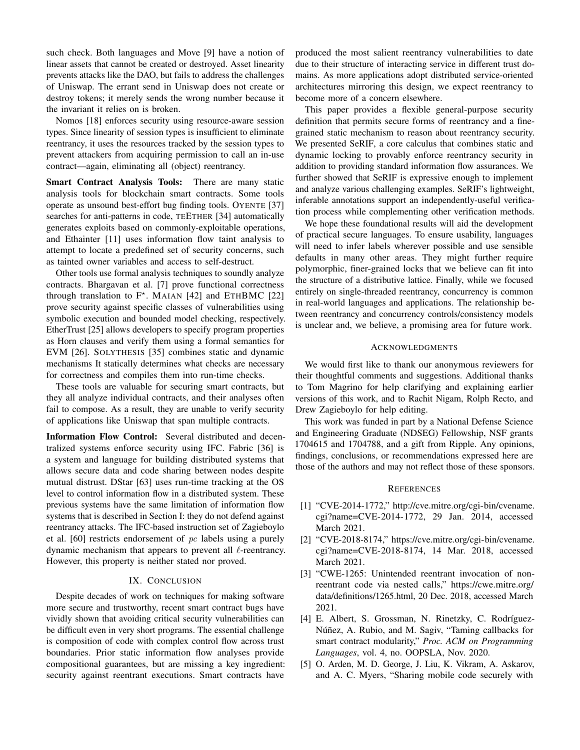such check. Both languages and Move [\[9\]](#page-14-9) have a notion of linear assets that cannot be created or destroyed. Asset linearity prevents attacks like the DAO, but fails to address the challenges of Uniswap. The errant send in Uniswap does not create or destroy tokens; it merely sends the wrong number because it the invariant it relies on is broken.

Nomos [\[18\]](#page-14-4) enforces security using resource-aware session types. Since linearity of session types is insufficient to eliminate reentrancy, it uses the resources tracked by the session types to prevent attackers from acquiring permission to call an in-use contract—again, eliminating all (object) reentrancy.

Smart Contract Analysis Tools: There are many static analysis tools for blockchain smart contracts. Some tools operate as unsound best-effort bug finding tools. OYENTE [\[37\]](#page-15-5) searches for anti-patterns in code, TEETHER [\[34\]](#page-15-27) automatically generates exploits based on commonly-exploitable operations, and Ethainter [\[11\]](#page-14-22) uses information flow taint analysis to attempt to locate a predefined set of security concerns, such as tainted owner variables and access to self-destruct.

Other tools use formal analysis techniques to soundly analyze contracts. Bhargavan et al. [\[7\]](#page-14-23) prove functional correctness through translation to  $F^*$ . MAIAN [\[42\]](#page-15-28) and ETHBMC [\[22\]](#page-14-24) prove security against specific classes of vulnerabilities using symbolic execution and bounded model checking, respectively. EtherTrust [\[25\]](#page-14-25) allows developers to specify program properties as Horn clauses and verify them using a formal semantics for EVM [\[26\]](#page-14-26). SOLYTHESIS [\[35\]](#page-15-29) combines static and dynamic mechanisms It statically determines what checks are necessary for correctness and compiles them into run-time checks.

These tools are valuable for securing smart contracts, but they all analyze individual contracts, and their analyses often fail to compose. As a result, they are unable to verify security of applications like Uniswap that span multiple contracts.

Information Flow Control: Several distributed and decentralized systems enforce security using IFC. Fabric [\[36\]](#page-15-20) is a system and language for building distributed systems that allows secure data and code sharing between nodes despite mutual distrust. DStar [\[63\]](#page-15-23) uses run-time tracking at the OS level to control information flow in a distributed system. These previous systems have the same limitation of information flow systems that is described in Section [I:](#page-0-0) they do not defend against reentrancy attacks. The IFC-based instruction set of Zagieboylo et al. [\[60\]](#page-15-30) restricts endorsement of  $pc$  labels using a purely dynamic mechanism that appears to prevent all  $\ell$ -reentrancy. However, this property is neither stated nor proved.

## IX. CONCLUSION

<span id="page-13-4"></span>Despite decades of work on techniques for making software more secure and trustworthy, recent smart contract bugs have vividly shown that avoiding critical security vulnerabilities can be difficult even in very short programs. The essential challenge is composition of code with complex control flow across trust boundaries. Prior static information flow analyses provide compositional guarantees, but are missing a key ingredient: security against reentrant executions. Smart contracts have

produced the most salient reentrancy vulnerabilities to date due to their structure of interacting service in different trust domains. As more applications adopt distributed service-oriented architectures mirroring this design, we expect reentrancy to become more of a concern elsewhere.

This paper provides a flexible general-purpose security definition that permits secure forms of reentrancy and a finegrained static mechanism to reason about reentrancy security. We presented SeRIF, a core calculus that combines static and dynamic locking to provably enforce reentrancy security in addition to providing standard information flow assurances. We further showed that SeRIF is expressive enough to implement and analyze various challenging examples. SeRIF's lightweight, inferable annotations support an independently-useful verification process while complementing other verification methods.

We hope these foundational results will aid the development of practical secure languages. To ensure usability, languages will need to infer labels wherever possible and use sensible defaults in many other areas. They might further require polymorphic, finer-grained locks that we believe can fit into the structure of a distributive lattice. Finally, while we focused entirely on single-threaded reentrancy, concurrency is common in real-world languages and applications. The relationship between reentrancy and concurrency controls/consistency models is unclear and, we believe, a promising area for future work.

#### ACKNOWLEDGMENTS

We would first like to thank our anonymous reviewers for their thoughtful comments and suggestions. Additional thanks to Tom Magrino for help clarifying and explaining earlier versions of this work, and to Rachit Nigam, Rolph Recto, and Drew Zagieboylo for help editing.

This work was funded in part by a National Defense Science and Engineering Graduate (NDSEG) Fellowship, NSF grants 1704615 and 1704788, and a gift from Ripple. Any opinions, findings, conclusions, or recommendations expressed here are those of the authors and may not reflect those of these sponsors.

#### **REFERENCES**

- <span id="page-13-0"></span>[1] "CVE-2014-1772," [http://cve.mitre.org/cgi-bin/cvename.](http://cve.mitre.org/cgi-bin/cvename.cgi?name=CVE-2014-1772) [cgi?name=CVE-2014-1772,](http://cve.mitre.org/cgi-bin/cvename.cgi?name=CVE-2014-1772) 29 Jan. 2014, accessed March 2021.
- <span id="page-13-1"></span>[2] "CVE-2018-8174," [https://cve.mitre.org/cgi-bin/cvename.](https://cve.mitre.org/cgi-bin/cvename.cgi?name=CVE-2018-8174) [cgi?name=CVE-2018-8174,](https://cve.mitre.org/cgi-bin/cvename.cgi?name=CVE-2018-8174) 14 Mar. 2018, accessed March 2021.
- <span id="page-13-2"></span>[3] "CWE-1265: Unintended reentrant invocation of nonreentrant code via nested calls," [https://cwe.mitre.org/](https://cwe.mitre.org/data/definitions/1265.html) [data/definitions/1265.html,](https://cwe.mitre.org/data/definitions/1265.html) 20 Dec. 2018, accessed March 2021.
- <span id="page-13-3"></span>[4] E. Albert, S. Grossman, N. Rinetzky, C. Rodríguez-Núñez, A. Rubio, and M. Sagiv, "Taming callbacks for smart contract modularity," *Proc. ACM on Programming Languages*, vol. 4, no. OOPSLA, Nov. 2020.
- <span id="page-13-5"></span>[5] O. Arden, M. D. George, J. Liu, K. Vikram, A. Askarov, and A. C. Myers, "Sharing mobile code securely with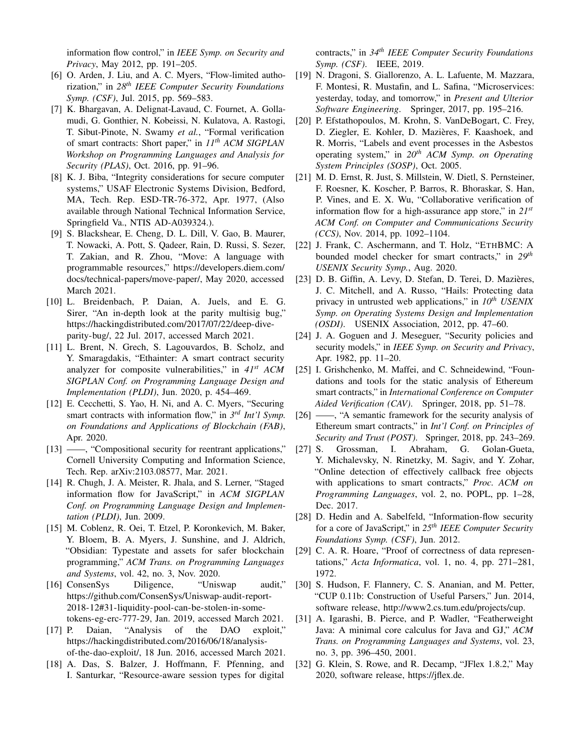information flow control," in *IEEE Symp. on Security and Privacy*, May 2012, pp. 191–205.

- <span id="page-14-13"></span>[6] O. Arden, J. Liu, and A. C. Myers, "Flow-limited authorization," in *28th IEEE Computer Security Foundations Symp. (CSF)*, Jul. 2015, pp. 569–583.
- <span id="page-14-23"></span>[7] K. Bhargavan, A. Delignat-Lavaud, C. Fournet, A. Gollamudi, G. Gonthier, N. Kobeissi, N. Kulatova, A. Rastogi, T. Sibut-Pinote, N. Swamy *et al.*, "Formal verification of smart contracts: Short paper," in *11th ACM SIGPLAN Workshop on Programming Languages and Analysis for Security (PLAS)*, Oct. 2016, pp. 91–96.
- <span id="page-14-12"></span>[8] K. J. Biba, "Integrity considerations for secure computer systems," USAF Electronic Systems Division, Bedford, MA, Tech. Rep. ESD-TR-76-372, Apr. 1977, (Also available through National Technical Information Service, Springfield Va., NTIS AD-A039324.).
- <span id="page-14-9"></span>[9] S. Blackshear, E. Cheng, D. L. Dill, V. Gao, B. Maurer, T. Nowacki, A. Pott, S. Qadeer, Rain, D. Russi, S. Sezer, T. Zakian, and R. Zhou, "Move: A language with programmable resources," [https://developers.diem.com/](https://developers.diem.com/docs/technical-papers/move-paper/) [docs/technical-papers/move-paper/,](https://developers.diem.com/docs/technical-papers/move-paper/) May 2020, accessed March 2021.
- <span id="page-14-15"></span>[10] L. Breidenbach, P. Daian, A. Juels, and E. G. Sirer, "An in-depth look at the parity multisig bug," [https://hackingdistributed.com/2017/07/22/deep-dive](https://hackingdistributed.com/2017/07/22/deep-dive-parity-bug/)[parity-bug/,](https://hackingdistributed.com/2017/07/22/deep-dive-parity-bug/) 22 Jul. 2017, accessed March 2021.
- <span id="page-14-22"></span>[11] L. Brent, N. Grech, S. Lagouvardos, B. Scholz, and Y. Smaragdakis, "Ethainter: A smart contract security analyzer for composite vulnerabilities," in *41st ACM SIGPLAN Conf. on Programming Language Design and Implementation (PLDI)*, Jun. 2020, p. 454–469.
- <span id="page-14-7"></span>[12] E. Cecchetti, S. Yao, H. Ni, and A. C. Myers, "Securing smart contracts with information flow," in *3 rd Int'l Symp. on Foundations and Applications of Blockchain (FAB)*, Apr. 2020.
- <span id="page-14-18"></span>[13] ——, "Compositional security for reentrant applications," Cornell University Computing and Information Science, Tech. Rep. arXiv:2103.08577, Mar. 2021.
- <span id="page-14-0"></span>[14] R. Chugh, J. A. Meister, R. Jhala, and S. Lerner, "Staged information flow for JavaScript," in *ACM SIGPLAN Conf. on Programming Language Design and Implementation (PLDI)*, Jun. 2009.
- <span id="page-14-3"></span>[15] M. Coblenz, R. Oei, T. Etzel, P. Koronkevich, M. Baker, Y. Bloem, B. A. Myers, J. Sunshine, and J. Aldrich, "Obsidian: Typestate and assets for safer blockchain programming," *ACM Trans. on Programming Languages and Systems*, vol. 42, no. 3, Nov. 2020.
- <span id="page-14-6"></span>[16] ConsenSys Diligence, "Uniswap audit," [https://github.com/ConsenSys/Uniswap-audit-report-](https://github.com/ConsenSys/Uniswap-audit-report-2018-12#31-liquidity-pool-can-be-stolen-in-some-tokens-eg-erc-777-29)[2018-12#31-liquidity-pool-can-be-stolen-in-some](https://github.com/ConsenSys/Uniswap-audit-report-2018-12#31-liquidity-pool-can-be-stolen-in-some-tokens-eg-erc-777-29)[tokens-eg-erc-777-29,](https://github.com/ConsenSys/Uniswap-audit-report-2018-12#31-liquidity-pool-can-be-stolen-in-some-tokens-eg-erc-777-29) Jan. 2019, accessed March 2021.
- <span id="page-14-10"></span>[17] P. Daian, "Analysis of the DAO exploit," [https://hackingdistributed.com/2016/06/18/analysis](https://hackingdistributed.com/2016/06/18/analysis-of-the-dao-exploit/)[of-the-dao-exploit/,](https://hackingdistributed.com/2016/06/18/analysis-of-the-dao-exploit/) 18 Jun. 2016, accessed March 2021.
- <span id="page-14-4"></span>[18] A. Das, S. Balzer, J. Hoffmann, F. Pfenning, and I. Santurkar, "Resource-aware session types for digital

contracts," in *34th IEEE Computer Security Foundations Symp. (CSF)*. IEEE, 2019.

- <span id="page-14-2"></span>[19] N. Dragoni, S. Giallorenzo, A. L. Lafuente, M. Mazzara, F. Montesi, R. Mustafin, and L. Safina, "Microservices: yesterday, today, and tomorrow," in *Present and Ulterior Software Engineering*. Springer, 2017, pp. 195–216.
- <span id="page-14-14"></span>[20] P. Efstathopoulos, M. Krohn, S. VanDeBogart, C. Frey, D. Ziegler, E. Kohler, D. Mazières, F. Kaashoek, and R. Morris, "Labels and event processes in the Asbestos operating system," in *20th ACM Symp. on Operating System Principles (SOSP)*, Oct. 2005.
- <span id="page-14-8"></span>[21] M. D. Ernst, R. Just, S. Millstein, W. Dietl, S. Pernsteiner, F. Roesner, K. Koscher, P. Barros, R. Bhoraskar, S. Han, P. Vines, and E. X. Wu, "Collaborative verification of information flow for a high-assurance app store," in *21st ACM Conf. on Computer and Communications Security (CCS)*, Nov. 2014, pp. 1092–1104.
- <span id="page-14-24"></span>[22] J. Frank, C. Aschermann, and T. Holz, "ETHBMC: A bounded model checker for smart contracts," in *29th USENIX Security Symp.*, Aug. 2020.
- <span id="page-14-17"></span>[23] D. B. Giffin, A. Levy, D. Stefan, D. Terei, D. Mazières, J. C. Mitchell, and A. Russo, "Hails: Protecting data privacy in untrusted web applications," in *10th USENIX Symp. on Operating Systems Design and Implementation (OSDI)*. USENIX Association, 2012, pp. 47–60.
- <span id="page-14-11"></span>[24] J. A. Goguen and J. Meseguer, "Security policies and security models," in *IEEE Symp. on Security and Privacy*, Apr. 1982, pp. 11–20.
- <span id="page-14-25"></span>[25] I. Grishchenko, M. Maffei, and C. Schneidewind, "Foundations and tools for the static analysis of Ethereum smart contracts," in *International Conference on Computer Aided Verification (CAV)*. Springer, 2018, pp. 51–78.
- <span id="page-14-26"></span>[26] ——, "A semantic framework for the security analysis of Ethereum smart contracts," in *Int'l Conf. on Principles of Security and Trust (POST)*. Springer, 2018, pp. 243–269.
- <span id="page-14-5"></span>[27] S. Grossman, I. Abraham, G. Golan-Gueta, Y. Michalevsky, N. Rinetzky, M. Sagiv, and Y. Zohar, "Online detection of effectively callback free objects with applications to smart contracts," *Proc. ACM on Programming Languages*, vol. 2, no. POPL, pp. 1–28, Dec. 2017.
- <span id="page-14-1"></span>[28] D. Hedin and A. Sabelfeld, "Information-flow security for a core of JavaScript," in *25th IEEE Computer Security Foundations Symp. (CSF)*, Jun. 2012.
- <span id="page-14-19"></span>[29] C. A. R. Hoare, "Proof of correctness of data representations," *Acta Informatica*, vol. 1, no. 4, pp. 271–281, 1972.
- <span id="page-14-21"></span>[30] S. Hudson, F. Flannery, C. S. Ananian, and M. Petter, "CUP 0.11b: Construction of Useful Parsers," Jun. 2014, software release, [http://www2.cs.tum.edu/projects/cup.](http://www2.cs.tum.edu/projects/cup)
- <span id="page-14-16"></span>[31] A. Igarashi, B. Pierce, and P. Wadler, "Featherweight Java: A minimal core calculus for Java and GJ," *ACM Trans. on Programming Languages and Systems*, vol. 23, no. 3, pp. 396–450, 2001.
- <span id="page-14-20"></span>[32] G. Klein, S. Rowe, and R. Decamp, "JFlex 1.8.2," May 2020, software release, [https://jflex.de.](https://jflex.de)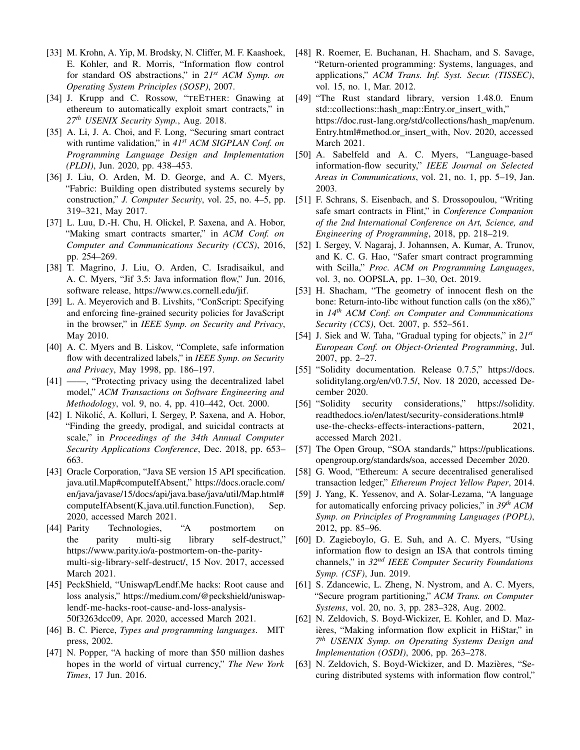- <span id="page-15-19"></span>[33] M. Krohn, A. Yip, M. Brodsky, N. Cliffer, M. F. Kaashoek, E. Kohler, and R. Morris, "Information flow control for standard OS abstractions," in *21st ACM Symp. on Operating System Principles (SOSP)*, 2007.
- <span id="page-15-27"></span>[34] J. Krupp and C. Rossow, "TEETHER: Gnawing at ethereum to automatically exploit smart contracts," in *27th USENIX Security Symp.*, Aug. 2018.
- <span id="page-15-29"></span>[35] A. Li, J. A. Choi, and F. Long, "Securing smart contract with runtime validation," in *41st ACM SIGPLAN Conf. on Programming Language Design and Implementation (PLDI)*, Jun. 2020, pp. 438–453.
- <span id="page-15-20"></span>[36] J. Liu, O. Arden, M. D. George, and A. C. Myers, "Fabric: Building open distributed systems securely by construction," *J. Computer Security*, vol. 25, no. 4–5, pp. 319–321, May 2017.
- <span id="page-15-5"></span>[37] L. Luu, D.-H. Chu, H. Olickel, P. Saxena, and A. Hobor, "Making smart contracts smarter," in *ACM Conf. on Computer and Communications Security (CCS)*, 2016, pp. 254–269.
- <span id="page-15-18"></span>[38] T. Magrino, J. Liu, O. Arden, C. Isradisaikul, and A. C. Myers, "Jif 3.5: Java information flow," Jun. 2016, software release, [https://www.cs.cornell.edu/jif.](https://www.cs.cornell.edu/jif)
- <span id="page-15-3"></span>[39] L. A. Meyerovich and B. Livshits, "ConScript: Specifying and enforcing fine-grained security policies for JavaScript in the browser," in *IEEE Symp. on Security and Privacy*, May 2010.
- <span id="page-15-16"></span>[40] A. C. Myers and B. Liskov, "Complete, safe information flow with decentralized labels," in *IEEE Symp. on Security and Privacy*, May 1998, pp. 186–197.
- <span id="page-15-17"></span>[41] ——, "Protecting privacy using the decentralized label model," *ACM Transactions on Software Engineering and Methodology*, vol. 9, no. 4, pp. 410–442, Oct. 2000.
- <span id="page-15-28"></span>[42] I. Nikolić, A. Kolluri, I. Sergey, P. Saxena, and A. Hobor, "Finding the greedy, prodigal, and suicidal contracts at scale," in *Proceedings of the 34th Annual Computer Security Applications Conference*, Dec. 2018, pp. 653– 663.
- <span id="page-15-10"></span>[43] Oracle Corporation, "Java SE version 15 API specification. java.util.Map#computeIfAbsent," [https://docs.oracle.com/](https://docs.oracle.com/en/java/javase/15/docs/api/java.base/java/util/Map.html#computeIfAbsent(K,java.util.function.Function)) [en/java/javase/15/docs/api/java.base/java/util/Map.html#](https://docs.oracle.com/en/java/javase/15/docs/api/java.base/java/util/Map.html#computeIfAbsent(K,java.util.function.Function)) [computeIfAbsent\(K,java.util.function.Function\),](https://docs.oracle.com/en/java/javase/15/docs/api/java.base/java/util/Map.html#computeIfAbsent(K,java.util.function.Function)) Sep. 2020, accessed March 2021.
- <span id="page-15-0"></span>[44] Parity Technologies, "A postmortem on the parity multi-sig library self-destruct," [https://www.parity.io/a-postmortem-on-the-parity](https://www.parity.io/a-postmortem-on-the-parity-multi-sig-library-self-destruct/)[multi-sig-library-self-destruct/,](https://www.parity.io/a-postmortem-on-the-parity-multi-sig-library-self-destruct/) 15 Nov. 2017, accessed March 2021.
- <span id="page-15-1"></span>[45] PeckShield, "Uniswap/Lendf.Me hacks: Root cause and loss analysis," [https://medium.com/@peckshield/uniswap](https://medium.com/@peckshield/uniswap-lendf-me-hacks-root-cause-and-loss-analysis-50f3263dcc09)[lendf-me-hacks-root-cause-and-loss-analysis-](https://medium.com/@peckshield/uniswap-lendf-me-hacks-root-cause-and-loss-analysis-50f3263dcc09)[50f3263dcc09,](https://medium.com/@peckshield/uniswap-lendf-me-hacks-root-cause-and-loss-analysis-50f3263dcc09) Apr. 2020, accessed March 2021.
- <span id="page-15-21"></span>[46] B. C. Pierce, *Types and programming languages*. MIT press, 2002.
- <span id="page-15-2"></span>[47] N. Popper, "A hacking of more than \$50 million dashes hopes in the world of virtual currency," *The New York Times*, 17 Jun. 2016.
- <span id="page-15-25"></span>[48] R. Roemer, E. Buchanan, H. Shacham, and S. Savage, "Return-oriented programming: Systems, languages, and applications," *ACM Trans. Inf. Syst. Secur. (TISSEC)*, vol. 15, no. 1, Mar. 2012.
- <span id="page-15-11"></span>[49] "The Rust standard library, version 1.48.0. Enum std::collections::hash\_map::Entry.or\_insert\_with," [https://doc.rust-lang.org/std/collections/hash\\_map/enum.](https://doc.rust-lang.org/std/collections/hash_map/enum.Entry.html#method.or_insert_with) [Entry.html#method.or\\_insert\\_with,](https://doc.rust-lang.org/std/collections/hash_map/enum.Entry.html#method.or_insert_with) Nov. 2020, accessed March 2021.
- <span id="page-15-12"></span>[50] A. Sabelfeld and A. C. Myers, "Language-based information-flow security," *IEEE Journal on Selected Areas in Communications*, vol. 21, no. 1, pp. 5–19, Jan. 2003.
- <span id="page-15-6"></span>[51] F. Schrans, S. Eisenbach, and S. Drossopoulou, "Writing safe smart contracts in Flint," in *Conference Companion of the 2nd International Conference on Art, Science, and Engineering of Programming*, 2018, pp. 218–219.
- <span id="page-15-7"></span>[52] I. Sergey, V. Nagaraj, J. Johannsen, A. Kumar, A. Trunov, and K. C. G. Hao, "Safer smart contract programming with Scilla," *Proc. ACM on Programming Languages*, vol. 3, no. OOPSLA, pp. 1–30, Oct. 2019.
- <span id="page-15-26"></span>[53] H. Shacham, "The geometry of innocent flesh on the bone: Return-into-libc without function calls (on the x86)," in *14th ACM Conf. on Computer and Communications Security (CCS)*, Oct. 2007, p. 552–561.
- <span id="page-15-22"></span>[54] J. Siek and W. Taha, "Gradual typing for objects," in *21st European Conf. on Object-Oriented Programming*, Jul. 2007, pp. 2–27.
- <span id="page-15-8"></span>[55] "Solidity documentation. Release 0.7.5," [https://docs.](https://docs.soliditylang.org/en/v0.7.5/) [soliditylang.org/en/v0.7.5/,](https://docs.soliditylang.org/en/v0.7.5/) Nov. 18 2020, accessed December 2020.
- <span id="page-15-9"></span>[56] "Solidity security considerations," [https://solidity.](https://solidity.readthedocs.io/en/latest/security-considerations.html#use-the-checks-effects-interactions-pattern) [readthedocs.io/en/latest/security-considerations.html#](https://solidity.readthedocs.io/en/latest/security-considerations.html#use-the-checks-effects-interactions-pattern) [use-the-checks-effects-interactions-pattern,](https://solidity.readthedocs.io/en/latest/security-considerations.html#use-the-checks-effects-interactions-pattern) 2021, accessed March 2021.
- <span id="page-15-4"></span>[57] The Open Group, "SOA standards," [https://publications.](https://publications.opengroup.org/standards/soa) [opengroup.org/standards/soa,](https://publications.opengroup.org/standards/soa) accessed December 2020.
- <span id="page-15-24"></span>[58] G. Wood, "Ethereum: A secure decentralised generalised transaction ledger," *Ethereum Project Yellow Paper*, 2014.
- <span id="page-15-13"></span>[59] J. Yang, K. Yessenov, and A. Solar-Lezama, "A language for automatically enforcing privacy policies," in *39th ACM Symp. on Principles of Programming Languages (POPL)*, 2012, pp. 85–96.
- <span id="page-15-30"></span>[60] D. Zagieboylo, G. E. Suh, and A. C. Myers, "Using information flow to design an ISA that controls timing channels," in *32nd IEEE Computer Security Foundations Symp. (CSF)*, Jun. 2019.
- <span id="page-15-14"></span>[61] S. Zdancewic, L. Zheng, N. Nystrom, and A. C. Myers, "Secure program partitioning," *ACM Trans. on Computer Systems*, vol. 20, no. 3, pp. 283–328, Aug. 2002.
- <span id="page-15-15"></span>[62] N. Zeldovich, S. Boyd-Wickizer, E. Kohler, and D. Mazières, "Making information flow explicit in HiStar," in *7 th USENIX Symp. on Operating Systems Design and Implementation (OSDI)*, 2006, pp. 263–278.
- <span id="page-15-23"></span>[63] N. Zeldovich, S. Boyd-Wickizer, and D. Mazières, "Securing distributed systems with information flow control,"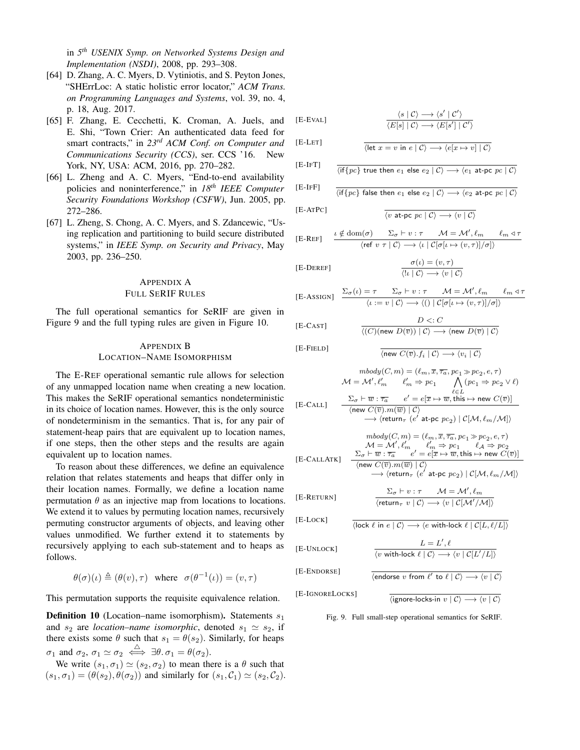in *5 th USENIX Symp. on Networked Systems Design and Implementation (NSDI)*, 2008, pp. 293–308.

- <span id="page-16-6"></span>[64] D. Zhang, A. C. Myers, D. Vytiniotis, and S. Peyton Jones, "SHErrLoc: A static holistic error locator," *ACM Trans. on Programming Languages and Systems*, vol. 39, no. 4, p. 18, Aug. 2017.
- <span id="page-16-0"></span>[65] F. Zhang, E. Cecchetti, K. Croman, A. Juels, and E. Shi, "Town Crier: An authenticated data feed for smart contracts," in *23rd ACM Conf. on Computer and Communications Security (CCS)*, ser. CCS '16. New York, NY, USA: ACM, 2016, pp. 270–282.
- <span id="page-16-1"></span>[66] L. Zheng and A. C. Myers, "End-to-end availability policies and noninterference," in *18th IEEE Computer Security Foundations Workshop (CSFW)*, Jun. 2005, pp. 272–286.
- <span id="page-16-2"></span>[67] L. Zheng, S. Chong, A. C. Myers, and S. Zdancewic, "Using replication and partitioning to build secure distributed systems," in *IEEE Symp. on Security and Privacy*, May 2003, pp. 236–250.

## <span id="page-16-4"></span>APPENDIX A FULL SERIF RULES

The full operational semantics for SeRIF are given in Figure [9](#page-16-3) and the full typing rules are given in Figure [10.](#page-17-0)

# <span id="page-16-5"></span>APPENDIX B LOCATION–NAME ISOMORPHISM

The [E-R](#page-6-1)EF operational semantic rule allows for selection of any unmapped location name when creating a new location. This makes the SeRIF operational semantics nondeterministic in its choice of location names. However, this is the only source of nondeterminism in the semantics. That is, for any pair of statement-heap pairs that are equivalent up to location names, if one steps, then the other steps and the results are again equivalent up to location names.

To reason about these differences, we define an equivalence relation that relates statements and heaps that differ only in their location names. Formally, we define a location name permutation  $\theta$  as an injective map from locations to locations. We extend it to values by permuting location names, recursively permuting constructor arguments of objects, and leaving other values unmodified. We further extend it to statements by recursively applying to each sub-statement and to heaps as follows.

$$
\theta(\sigma)(\iota) \triangleq (\theta(v), \tau)
$$
 where  $\sigma(\theta^{-1}(\iota)) = (v, \tau)$ 

This permutation supports the requisite equivalence relation.

**Definition 10** (Location–name isomorphism). Statements  $s_1$ and  $s_2$  are *location–name isomorphic*, denoted  $s_1 \simeq s_2$ , if there exists some  $\theta$  such that  $s_1 = \theta(s_2)$ . Similarly, for heaps  $\sigma_1$  and  $\sigma_2$ ,  $\sigma_1 \simeq \sigma_2 \iff \exists \theta \ldotp \sigma_1 = \theta(\sigma_2)$ .

We write  $(s_1, \sigma_1) \simeq (s_2, \sigma_2)$  to mean there is a  $\theta$  such that  $(s_1, \sigma_1) = (\theta(s_2), \theta(\sigma_2))$  and similarly for  $(s_1, \mathcal{C}_1) \simeq (s_2, \mathcal{C}_2)$ .

$$
\begin{array}{c}\n\langle s | C \rangle \longrightarrow \langle s' | C' \rangle \\
\hline\n\langle E[s] | C \rangle \longrightarrow \langle E[s'] | C' \rangle\n\end{array}
$$

$$
[{\rm E\text{-}LET}]
$$

$$
\mathbf{F} = \mathbf{F} \mathbf{F} \mathbf{T} \mathbf{T}
$$

<span id="page-16-3"></span> $[E-E]$ 

[E-IFT] 
$$
\frac{\langle \text{if} \{pc\} \text{ true then } e_1 \text{ else } e_2 \mid C \rangle \longrightarrow \langle e_1 \text{ at-pc } pc \mid C \rangle}{\langle \text{if} \{pc\} \text{ true then } e_1 \text{ else } e_2 \mid C \rangle \longrightarrow \langle e_1 \text{ at-pc } pc \mid C \rangle}
$$

 $\overline{\langle \text{let } x = v \text{ in } e \mid \mathcal{C} \rangle \longrightarrow \langle e[x \mapsto v] \mid \mathcal{C} \rangle}$ 

$$
\text{[E-IFF]} \qquad \frac{}{\langle \text{if} \{ \text{pc} \} \text{ false then } e_1 \text{ else } e_2 \mid \mathcal{C} \rangle \longrightarrow \langle e_2 \text{ at-pc } \text{pc} \mid \mathcal{C} \rangle}
$$

$$
[E-ATPC] \qquad \qquad \frac{}{\langle v \text{ at-pc } pc \mid C \rangle \longrightarrow \langle v \mid C \rangle}
$$

$$
\text{[E-REF]} \quad \ \frac{\iota \notin \text{dom}(\sigma) \quad \ \ \Sigma_{\sigma} \vdash v : \tau \quad \ \ \mathcal{M} = \mathcal{M}', \ell_m \quad \ \ \ell_m \lhd \tau}{\langle \text{ref } v \ \tau \mid \mathcal{C} \rangle \longrightarrow \langle \iota \mid \mathcal{C}[\sigma[\iota \mapsto (v,\tau)]/\sigma] \rangle}
$$

[E-DEREF]

$$
f_{\rm{max}}
$$

$$
\text{[E-ASSIGN]} \quad \frac{\Sigma_{\sigma}(\iota) = \tau \quad \Sigma_{\sigma} \vdash v : \tau \quad \mathcal{M} = \mathcal{M}', \ell_m \quad \ell_m \triangleleft \tau}{\langle \iota := v | \mathcal{C} \rangle \longrightarrow \langle () | \mathcal{C}[\sigma[\iota \mapsto (v, \tau)] / \sigma] \rangle}
$$

$$
[E-CAST]
$$

 $[E]$ 

$$
mbody(C, m) = (\ell_m, \overline{x}, \overline{\tau_a}, pc_1 \gg pc_2, e, \tau)
$$
  

$$
\mathcal{M} = \mathcal{M}', \ell'_m \qquad \ell'_m \Rightarrow pc_1 \qquad \bigwedge (pc_1 \Rightarrow pc_2 \vee \ell)
$$

 $\overline{\langle \text{new } C(\overline{v}), f_i | \mathcal{C} \rangle} \longrightarrow \langle v_i | \mathcal{C} \rangle$ 

 $D \langle C \rangle$  $\langle (C)(\mathsf{new}\ D(\overline{v})) \mid \mathcal{C} \rangle \longrightarrow \langle \mathsf{new}\ D(\overline{v}) \mid \mathcal{C} \rangle$ 

 $\sigma(\iota)=(v,\tau)$  $\langle !\iota | \mathcal{C} \rangle \longrightarrow \langle v | \mathcal{C} \rangle$ 

$$
\begin{array}{ccc} [\text{E-CALL}] & \frac{\Sigma_{\sigma} \vdash \overline{w} : \overline{\tau_a} & e' = e[\overline{x} \mapsto \overline{w}, \text{this} \mapsto \text{new } C(\overline{v})]}{\langle \text{new } C(\overline{v}) . m(\overline{w}) \mid \mathcal{C} \rangle} \\ & \longrightarrow \langle \text{return}_{\tau} \ (e' \text{ at-pc } pc_2) \mid \mathcal{C}[\mathcal{M}, \ell_m/\mathcal{M}] \rangle \end{array}
$$

$$
\begin{array}{cc} \textit{mbody}(C,m) = (\ell_m, \overline{x}, \overline{\tau_a}, pc_1 \gg pc_2, e, \tau) \\ \mathcal{M} = \mathcal{M}', \ell'_m & \ell'_m \Rightarrow pc_1 & \ell_{\mathcal{A}} \Rightarrow pc_2 \\ \textit{[E-CALLATK]} & \sum_{\sigma} \vdash \overline{w} : \overline{\tau_a} & e' = e[\overline{x} \mapsto \overline{w}, \textit{this} \mapsto \textit{new} \ C(\overline{v})] \\ \langle \textit{new} \ C(\overline{v}), m(\overline{w}) \mid \mathcal{C} \rangle \end{array}
$$

$$
\begin{aligned}\n\langle \text{return}_{\tau} (e^{f} \text{ at-pc } pc_{2}) | C[M, \ell_{m}/M] \rangle \\
\longrightarrow \langle \text{return}_{\tau} (e^{f} \text{ at-pc } pc_{2}) | C[M, \ell_{m}/M] \rangle \\
\end{aligned}
$$

[E-RETURN]

$$
[E\text{-}Lock]
$$
\n
$$
\frac{}{\langle \text{lock } \ell \text{ in } e \mid \mathcal{C} \rangle \longrightarrow \langle e \text{ with-lock } \ell \mid \mathcal{C}[L, \ell/L] \rangle}
$$

$$
[E\text{-}\text{Unlock}]
$$

[E-IGNORELOCKS]

$$
\overline{\langle v \text{ with-lock } \ell \mid \mathcal{C} \rangle \longrightarrow \langle v \mid \mathcal{C}[L'/L] \rangle}
$$

$$
[E\text{-}\text{ENDORSE}] \qquad \qquad \frac{\text{(endorse } v \text{ from } \ell' \text{ to } \ell \mid C} \longrightarrow
$$

 $\overline{\langle$ ignore-locks-in  $v \mid \mathcal{C} \rangle \longrightarrow \langle v \mid \mathcal{C} \rangle$ 

 $\overline{\langle v | C \rangle}$ 

 $\langle \text{return}_{\tau} v \mid \mathcal{C} \rangle \longrightarrow \langle v \mid \mathcal{C}[\mathcal{M}'/\mathcal{M}] \rangle$ 

 $L = L', \ell$ 

Fig. 9. Full small-step operational semantics for SeRIF.

$$
f_{\rm{max}}
$$

$$
[E\text{-}\mathbf{C}\mathbf{A}\mathbf{S}\mathbf{T}]
$$

$$
\text{-}\mathbf{F}\text{[ELD]}
$$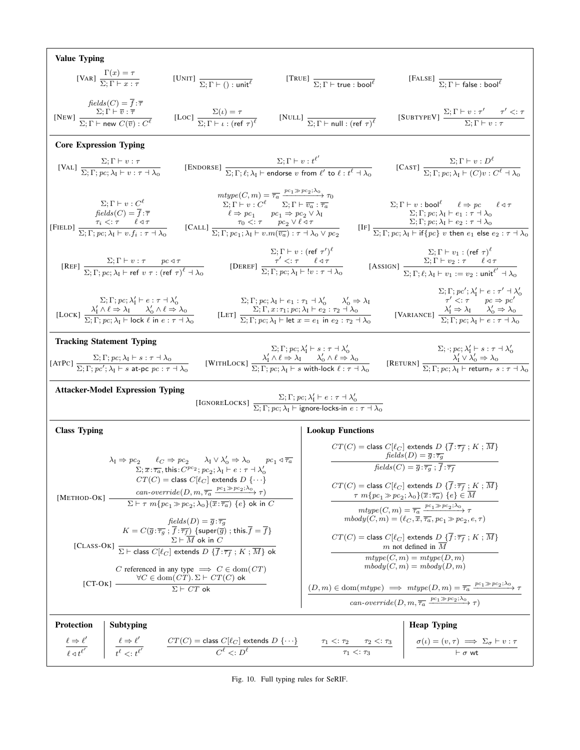<span id="page-17-0"></span>

| <b>Value Typing</b>                                                                                                                                                                                                                                                                                                                                                                                                                                                                                                                                                                                                                                                                                                                                                                                                                                             |                                                       |                                                                                                                                                                                                                                                                                                                                                                                                                                                                                                                                                                                                                                                                                                                                                                                                                                                                                                                                                                                                                                                                                                                                                                                  |                                                           |                                                                                    |  |                                                                                                                                                                                                                                                                                                                                                                                                                                                                                                                                                                                                                                                                                                                                                                                                                                                                                                                                                                                                                                                                                         |  |
|-----------------------------------------------------------------------------------------------------------------------------------------------------------------------------------------------------------------------------------------------------------------------------------------------------------------------------------------------------------------------------------------------------------------------------------------------------------------------------------------------------------------------------------------------------------------------------------------------------------------------------------------------------------------------------------------------------------------------------------------------------------------------------------------------------------------------------------------------------------------|-------------------------------------------------------|----------------------------------------------------------------------------------------------------------------------------------------------------------------------------------------------------------------------------------------------------------------------------------------------------------------------------------------------------------------------------------------------------------------------------------------------------------------------------------------------------------------------------------------------------------------------------------------------------------------------------------------------------------------------------------------------------------------------------------------------------------------------------------------------------------------------------------------------------------------------------------------------------------------------------------------------------------------------------------------------------------------------------------------------------------------------------------------------------------------------------------------------------------------------------------|-----------------------------------------------------------|------------------------------------------------------------------------------------|--|-----------------------------------------------------------------------------------------------------------------------------------------------------------------------------------------------------------------------------------------------------------------------------------------------------------------------------------------------------------------------------------------------------------------------------------------------------------------------------------------------------------------------------------------------------------------------------------------------------------------------------------------------------------------------------------------------------------------------------------------------------------------------------------------------------------------------------------------------------------------------------------------------------------------------------------------------------------------------------------------------------------------------------------------------------------------------------------------|--|
|                                                                                                                                                                                                                                                                                                                                                                                                                                                                                                                                                                                                                                                                                                                                                                                                                                                                 |                                                       | [VAR] $\frac{\Gamma(x) = \tau}{\Sigma; \Gamma \vdash x : \tau}$ [UNIT] $\frac{}{\Sigma; \Gamma \vdash (\ ) : \mathsf{unit}^\ell}$ [TRUE] $\frac{}{\Sigma; \Gamma \vdash \mathsf{true} : \mathsf{bool}^\ell}$                                                                                                                                                                                                                                                                                                                                                                                                                                                                                                                                                                                                                                                                                                                                                                                                                                                                                                                                                                     |                                                           |                                                                                    |  | [FALSE] $\frac{\sum_{;\Gamma \text{ is false}}}{\sum_{;\Gamma \text{ is false}}$                                                                                                                                                                                                                                                                                                                                                                                                                                                                                                                                                                                                                                                                                                                                                                                                                                                                                                                                                                                                        |  |
| $fields(C) = \overline{f} : \overline{\tau}$                                                                                                                                                                                                                                                                                                                                                                                                                                                                                                                                                                                                                                                                                                                                                                                                                    |                                                       | [NEW] $\frac{\Sigma; \hat{\Gamma} \models \bar{v} : \bar{\tau}}{\Sigma; \Gamma \vdash \text{new } C(\bar{v}) : C^{\ell}}$ [Loc] $\frac{\Sigma(\iota) = \tau}{\Sigma; \Gamma \vdash \iota : (\text{ref } \tau)^{\ell}}$                                                                                                                                                                                                                                                                                                                                                                                                                                                                                                                                                                                                                                                                                                                                                                                                                                                                                                                                                           |                                                           | [NULL] $\frac{}{\Sigma; \Gamma \vdash \mathsf{null} : (\mathsf{ref} \ \tau)^\ell}$ |  | $[\textsc{SubtypeV}] \; \frac{\Sigma; \Gamma \vdash v : \tau' \qquad \tau' <: \tau}{\Sigma; \Gamma \vdash v : \tau}$                                                                                                                                                                                                                                                                                                                                                                                                                                                                                                                                                                                                                                                                                                                                                                                                                                                                                                                                                                    |  |
| <b>Core Expression Typing</b>                                                                                                                                                                                                                                                                                                                                                                                                                                                                                                                                                                                                                                                                                                                                                                                                                                   |                                                       |                                                                                                                                                                                                                                                                                                                                                                                                                                                                                                                                                                                                                                                                                                                                                                                                                                                                                                                                                                                                                                                                                                                                                                                  |                                                           |                                                                                    |  |                                                                                                                                                                                                                                                                                                                                                                                                                                                                                                                                                                                                                                                                                                                                                                                                                                                                                                                                                                                                                                                                                         |  |
| [VAL] $\frac{\Sigma; \Gamma \vdash v : \tau}{\Sigma; \Gamma; pc; \lambda_1 \vdash v : \tau \dashv \lambda_0}$                                                                                                                                                                                                                                                                                                                                                                                                                                                                                                                                                                                                                                                                                                                                                   |                                                       |                                                                                                                                                                                                                                                                                                                                                                                                                                                                                                                                                                                                                                                                                                                                                                                                                                                                                                                                                                                                                                                                                                                                                                                  |                                                           |                                                                                    |  | [ENDORSE] $\frac{\Sigma; \Gamma \vdash v : t^{\ell'}}{\Sigma; \Gamma; \ell; \lambda_{\mathfrak{l}} \vdash \text{endorse } v \text{ from } \ell' \text{ to } \ell : t^{\ell} \dashv \lambda_{0}}$ [CAST] $\frac{\Sigma; \Gamma \vdash v : D^{\ell}}{\Sigma; \Gamma; pc; \lambda_{\mathfrak{l}} \vdash (C)v : C^{\ell} \dashv \lambda_{0}}$                                                                                                                                                                                                                                                                                                                                                                                                                                                                                                                                                                                                                                                                                                                                               |  |
|                                                                                                                                                                                                                                                                                                                                                                                                                                                                                                                                                                                                                                                                                                                                                                                                                                                                 |                                                       | $mtype(C, m) = \overline{\tau_a} \xrightarrow{pc_1 \gg pc_2; \lambda_0} \tau_0$                                                                                                                                                                                                                                                                                                                                                                                                                                                                                                                                                                                                                                                                                                                                                                                                                                                                                                                                                                                                                                                                                                  |                                                           |                                                                                    |  | $\begin{array}{llll} &\text{mtype}(C,m)=\tau_a\stackrel{\text{def}}{\overbrace{F_1\cap P_1}}\tau_0\\ &\text{E};\Gamma\vdash v:C^\ell&\Sigma;\Gamma\vdash v:C^\ell&\Sigma;\Gamma\vdash\overline{v_a}:\overline{\tau_a}&\Sigma;\Gamma\vdash v:\text{bool}^\ell&\ell\Rightarrow pc&\ell\triangleleft\tau\\ &\text{fields}(C)=\overline{f}:\overline{\tau}&\ell\Rightarrow pc_1&pc_1\Rightarrow pc_2\vee\lambda_1&\Sigma;\Gamma;pc;\lambda_\text{I}\vdash e_1:\tau\dashv\lambda_0\\ &\tau_i<:\tau&\ell\triangleleft\tau&\tau&\tau_$                                                                                                                                                                                                                                                                                                                                                                                                                                                                                                                                                         |  |
|                                                                                                                                                                                                                                                                                                                                                                                                                                                                                                                                                                                                                                                                                                                                                                                                                                                                 |                                                       |                                                                                                                                                                                                                                                                                                                                                                                                                                                                                                                                                                                                                                                                                                                                                                                                                                                                                                                                                                                                                                                                                                                                                                                  | $\Sigma$ ; $\Gamma \vdash v : (\text{ref } \tau')^{\ell}$ |                                                                                    |  | $[REF] \begin{tabular}{ll} \multicolumn{3}{l}{{\small \begin{tabular}{l c}c@{}} \multicolumn{3}{c}{ $\Sigma$;} $\Gamma$ & $\upsilon$ : $\left(\mbox{ref }\tau'\right)^{\ell}$ & $\Sigma$;} $\Gamma$ & $\upsilon$ : $\left(\mbox{ref }\tau'\right)^{\ell}$ & $\Sigma$;} $\Gamma$ & $\upsilon$ : $\left(\mbox{ref }\tau\right)^{\ell}$ \\ $\Sigma$;} $\Gamma$; $\upsilon$ : $\tau$ & $\upsilon$ & $\tau'$ & $\varsigma$ : $\tau$ & $\ell\lhd\tau$ & $\Sigma$; $\Gamma$ & $\upsilon$ : $\upsilon$ : $\tau$ & $\ell\lhd\tau$ \\ $\Sigma$;} $\Gamma$; $\upsilon$$                                                                                                                                                                                                                                                                                                                                                                                                                                                                                                                            |  |
| $\Sigma; \Gamma; pc'; \lambda'_I \vdash e : \tau' \dashv \lambda'_0$<br>$\tau' \lt : \tau \quad pc \Rightarrow pc'$<br>$\begin{array}{llll} \Sigma ; \Gamma ; pc ; \lambda _{\rm I}^{\prime } \vdash e : \tau \dashv \lambda _{\rm O}^{\prime } & \Sigma ; \Gamma ; pc ; \lambda _{\rm I} \vdash e_1 : \tau _1 \dashv \lambda _{\rm O}^{\prime } & \lambda _{\rm O}^{\prime } \Rightarrow \lambda _{\rm I} \\ \text{[Lock]} $\frac{\lambda _{\rm I}^{\prime } \wedge \ell \Rightarrow \lambda _{\rm I}}{\Sigma ; \Gamma ; pc ; \lambda _{\rm I} \vdash {\rm lock} \; \ell \; \text{in} \; e : \tau \dashv \lambda _{\rm O}} & \text{[LET]} $\frac{\Sigma ; \Gamma ; pc ; \lambda _{\rm I} \vdash$<br>[VARIANCE] $\frac{\lambda'_1 \Rightarrow \lambda_1 \qquad \lambda'_0 \Rightarrow \lambda_0}{\sum: \Gamma; pc; \lambda_1 \vdash e : \tau \dashv \lambda_0}$ |                                                       |                                                                                                                                                                                                                                                                                                                                                                                                                                                                                                                                                                                                                                                                                                                                                                                                                                                                                                                                                                                                                                                                                                                                                                                  |                                                           |                                                                                    |  |                                                                                                                                                                                                                                                                                                                                                                                                                                                                                                                                                                                                                                                                                                                                                                                                                                                                                                                                                                                                                                                                                         |  |
| <b>Tracking Statement Typing</b>                                                                                                                                                                                                                                                                                                                                                                                                                                                                                                                                                                                                                                                                                                                                                                                                                                |                                                       |                                                                                                                                                                                                                                                                                                                                                                                                                                                                                                                                                                                                                                                                                                                                                                                                                                                                                                                                                                                                                                                                                                                                                                                  |                                                           |                                                                                    |  |                                                                                                                                                                                                                                                                                                                                                                                                                                                                                                                                                                                                                                                                                                                                                                                                                                                                                                                                                                                                                                                                                         |  |
| Tracking Statement Typing<br>$\Sigma; \Gamma; pc; \lambda'_1 \vdash s : \tau \dashv \lambda'_0$<br>$\Omega; \Gamma; pc; \lambda_1 \vdash s : \tau \dashv \lambda_0$<br>$\Omega; \Gamma; pc; \lambda_1 \vdash s : \tau \dashv \lambda_0$<br>$\Omega; \Gamma; pc; \lambda_1 \vdash s : \tau \dashv \lambda_0$<br>$\Omega; \Gamma; pc; \lambda_1 \vdash s : \tau \dashv \lambda_0$<br>$\Omega; \Gamma; pc; \lambda_1 \vdash s : \tau \dashv \lambda_0$<br>$\Omega; \Gamma; pc; \lambda_1 \$                                                                                                                                                                                                                                                                                                                                                                        |                                                       |                                                                                                                                                                                                                                                                                                                                                                                                                                                                                                                                                                                                                                                                                                                                                                                                                                                                                                                                                                                                                                                                                                                                                                                  |                                                           |                                                                                    |  |                                                                                                                                                                                                                                                                                                                                                                                                                                                                                                                                                                                                                                                                                                                                                                                                                                                                                                                                                                                                                                                                                         |  |
| <b>Attacker-Model Expression Typing</b><br>[IGNORELOCKS] $\frac{\Sigma; \Gamma; pc; \lambda'_1 \vdash e : \tau \dashv \lambda'_0}{\Sigma; \Gamma; pc; \lambda_1 \vdash \text{ignore-locks-in } e : \tau \dashv \lambda_0}$                                                                                                                                                                                                                                                                                                                                                                                                                                                                                                                                                                                                                                      |                                                       |                                                                                                                                                                                                                                                                                                                                                                                                                                                                                                                                                                                                                                                                                                                                                                                                                                                                                                                                                                                                                                                                                                                                                                                  |                                                           |                                                                                    |  |                                                                                                                                                                                                                                                                                                                                                                                                                                                                                                                                                                                                                                                                                                                                                                                                                                                                                                                                                                                                                                                                                         |  |
| <b>Class Typing</b>                                                                                                                                                                                                                                                                                                                                                                                                                                                                                                                                                                                                                                                                                                                                                                                                                                             |                                                       |                                                                                                                                                                                                                                                                                                                                                                                                                                                                                                                                                                                                                                                                                                                                                                                                                                                                                                                                                                                                                                                                                                                                                                                  |                                                           | <b>Lookup Functions</b>                                                            |  |                                                                                                                                                                                                                                                                                                                                                                                                                                                                                                                                                                                                                                                                                                                                                                                                                                                                                                                                                                                                                                                                                         |  |
| $[$ METHOD-OK $]$ -<br>$[CT-OK]$ -                                                                                                                                                                                                                                                                                                                                                                                                                                                                                                                                                                                                                                                                                                                                                                                                                              |                                                       | $\lambda_{\rm I} \Rightarrow pc_2 \qquad \ell_C \Rightarrow pc_2 \qquad \lambda_{\rm I} \vee \lambda'_0 \Rightarrow \lambda_0 \qquad pc_1 \triangleleft \overline{\tau_a}$<br>$\Sigma; \overline{x}:\overline{\tau_a},$ this: $C^{pc_2};$ $pc_2;$ $\lambda_{\rm I}\vdash e:\tau\dashv\lambda'_0$<br>$CT(C)$ = class $C[\ell_C]$ extends $D\{\cdots\}$<br>$\mathit{can-override}(D, m, \overline{\tau_a} \xrightarrow{pc_1 \gg pc_2; \lambda_0} \tau)$<br>$\overline{\Sigma \vdash \tau \; m\{pc_1\gg pc_2; \lambda_\text{O}\}(\overline{x}:\overline{\tau_a})\; \{e\}}$ ok in $C$<br>$fields(D) = \overline{q} : \overline{\tau_q}$<br>$K=C(\overline{g}\,{:}\,\overline{\tau_g}\,{:}\,\overline{f}\,{:}\,\overline{\tau_f})$ {super( $\overline{g}$ ); this. $\overline{f}=\overline{f}$ }<br>$\Sigma \vdash \overline{M}$ ok in $C$<br>[CLASS-OK] $\frac{\Sigma \vdash M \text{ ok in } C}{\Sigma \vdash \text{class } C[\ell_C] \text{ extends } D \{\overline{f} : \overline{\tau_f} ; K ; \overline{M}\}}$ ok<br>C referenced in any type $\implies C \in \text{dom}(CT)$<br>$\forall C \in \text{dom}(CT)$ . $\Sigma \vdash CT(C)$ ok<br>$\overline{\Sigma \vdash C T}$ ok |                                                           |                                                                                    |  | $CT(C)$ = class $C[\ell_C]$ extends $D\{\overline{f}:\overline{\tau_f}:K;\overline{M}\}$<br>$fields(D) = \overline{g} : \overline{\tau_q}$<br>$\overline{fields}(C) = \overline{g} : \overline{\tau_q} : \overline{f} : \overline{\tau_f}$<br>$CT(C)$ = class $C[\ell_C]$ extends $D\{\overline{f}:\overline{\tau_f}:K;\overline{M}\}$<br>$\tau m\{pc_1\gg pc_2; \lambda_0\}(\overline{x}:\overline{\tau_a}) \{e\} \in \overline{M}$<br>$\begin{array}{c} mtype(C,m)=\overline{\tau_{a}}\xrightarrow{pc_{1}\gg pc_{2};\lambda_{0}}\tau\\ mbody(C,m)=(\ell_{C},\overline{x},\overline{\tau_{a}},pc_{1}\gg pc_{2},e,\tau) \end{array}$<br>$CT(C) = \text{class } C[\ell_C] \text{ extends } D \{ \overline{f} : \overline{\tau_f} ; K; \overline{M} \}$<br>$m$ not defined in $\overline{M}$<br>$mtype(C, m) = mtype(D, m)$<br>$mbody(C, m) = mbody(D, m)$<br>$(D,m) \in \text{dom}(\textit{mtype}) \implies \textit{mtype}(D,m) = \overline{\tau_a} \xrightarrow{pc_1 \gg pc_2; \lambda_0} \tau$<br>can-override $(D, m, \overline{\tau_a} \xrightarrow{pc_1 \gg pc_2; \lambda_0} \tau)$ |  |
| <b>Protection</b>                                                                                                                                                                                                                                                                                                                                                                                                                                                                                                                                                                                                                                                                                                                                                                                                                                               | Subtyping                                             |                                                                                                                                                                                                                                                                                                                                                                                                                                                                                                                                                                                                                                                                                                                                                                                                                                                                                                                                                                                                                                                                                                                                                                                  |                                                           |                                                                                    |  | <b>Heap Typing</b>                                                                                                                                                                                                                                                                                                                                                                                                                                                                                                                                                                                                                                                                                                                                                                                                                                                                                                                                                                                                                                                                      |  |
| $\frac{\ell \Rightarrow \ell'}{\ell \triangleleft t^{\ell'}}$                                                                                                                                                                                                                                                                                                                                                                                                                                                                                                                                                                                                                                                                                                                                                                                                   | $\frac{\ell \Rightarrow \ell'}{t^{\ell} < t^{\ell'}}$ | $\frac{CT(C)=\text{class }C[\ell_C] \text{ extends }D \ \{\cdots\}}{C^{\ell} <: D^{\ell}}$                                                                                                                                                                                                                                                                                                                                                                                                                                                                                                                                                                                                                                                                                                                                                                                                                                                                                                                                                                                                                                                                                       |                                                           | $\frac{\tau_1 <: \tau_2 \quad \tau_2 <: \tau_3}{\tau_1 <: \tau_3}$                 |  | $\begin{array}{c} \sigma(\iota)=(v,\tau) \implies \Sigma_{\sigma}\vdash v:\tau\\ \vdash \sigma \text{ wt} \end{array}$                                                                                                                                                                                                                                                                                                                                                                                                                                                                                                                                                                                                                                                                                                                                                                                                                                                                                                                                                                  |  |

Fig. 10. Full typing rules for SeRIF.